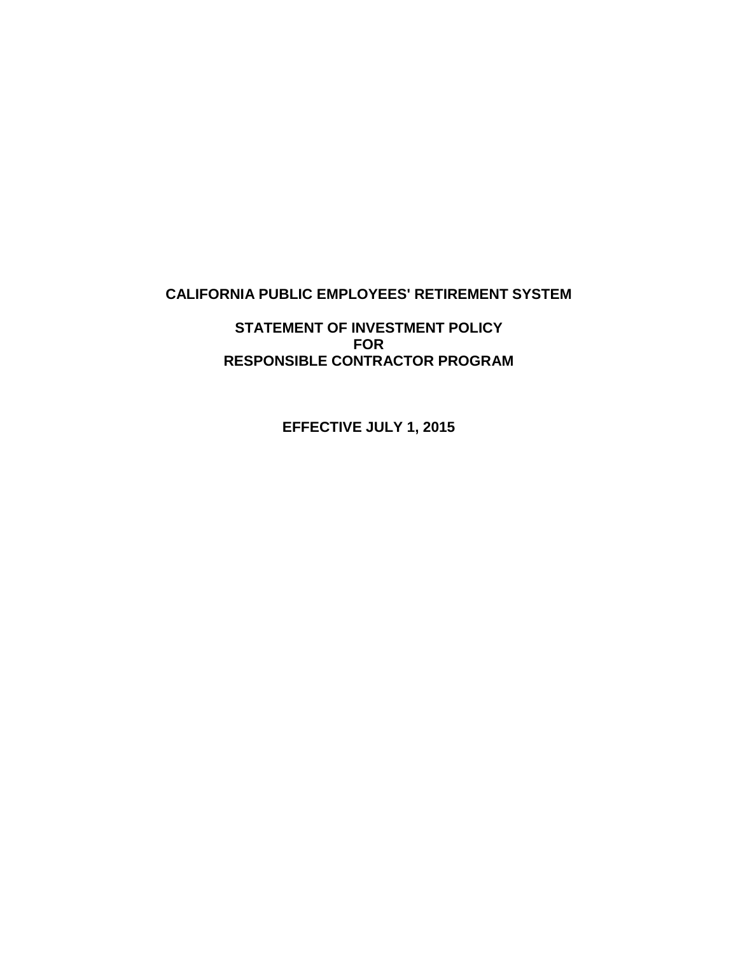# **CALIFORNIA PUBLIC EMPLOYEES' RETIREMENT SYSTEM**

**STATEMENT OF INVESTMENT POLICY FOR RESPONSIBLE CONTRACTOR PROGRAM**

**EFFECTIVE JULY 1, 2015**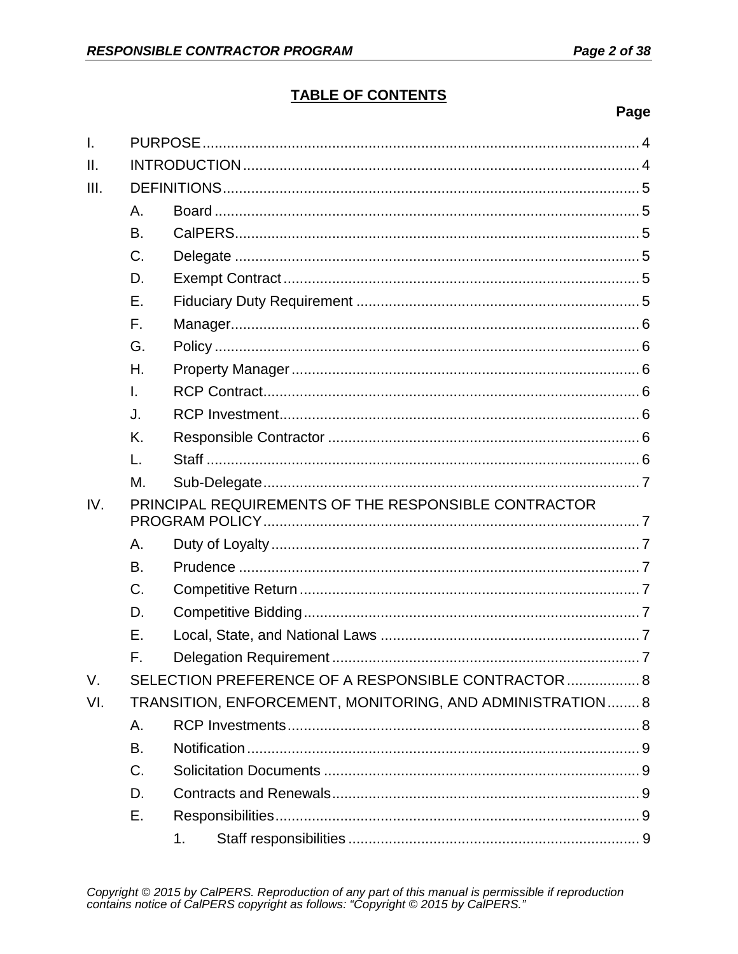# **TABLE OF CONTENTS**

# Page

| T.   |                                                      |                                                           |  |  |
|------|------------------------------------------------------|-----------------------------------------------------------|--|--|
| II.  |                                                      |                                                           |  |  |
| III. |                                                      |                                                           |  |  |
|      | A.                                                   |                                                           |  |  |
|      | <b>B.</b>                                            |                                                           |  |  |
|      | $C_{\cdot}$                                          |                                                           |  |  |
|      | D.                                                   |                                                           |  |  |
|      | Ε.                                                   |                                                           |  |  |
|      | F.                                                   |                                                           |  |  |
|      | G.                                                   |                                                           |  |  |
|      | Η.                                                   |                                                           |  |  |
|      | T.                                                   |                                                           |  |  |
|      | J.                                                   |                                                           |  |  |
|      | K.                                                   |                                                           |  |  |
|      | L.                                                   |                                                           |  |  |
|      | М.                                                   |                                                           |  |  |
| IV.  | PRINCIPAL REQUIREMENTS OF THE RESPONSIBLE CONTRACTOR |                                                           |  |  |
|      | Α.                                                   |                                                           |  |  |
|      | B.                                                   |                                                           |  |  |
|      | $C_{\cdot}$                                          |                                                           |  |  |
|      | D.                                                   |                                                           |  |  |
|      | Ε.                                                   |                                                           |  |  |
|      | F.                                                   |                                                           |  |  |
| V.   |                                                      | SELECTION PREFERENCE OF A RESPONSIBLE CONTRACTOR  8       |  |  |
| VI.  |                                                      | TRANSITION, ENFORCEMENT, MONITORING, AND ADMINISTRATION 8 |  |  |
|      | Α.                                                   |                                                           |  |  |
|      | В.                                                   |                                                           |  |  |
|      | $C_{\cdot}$                                          |                                                           |  |  |
|      | D.                                                   |                                                           |  |  |
|      | Ε.                                                   |                                                           |  |  |
|      |                                                      | 1.                                                        |  |  |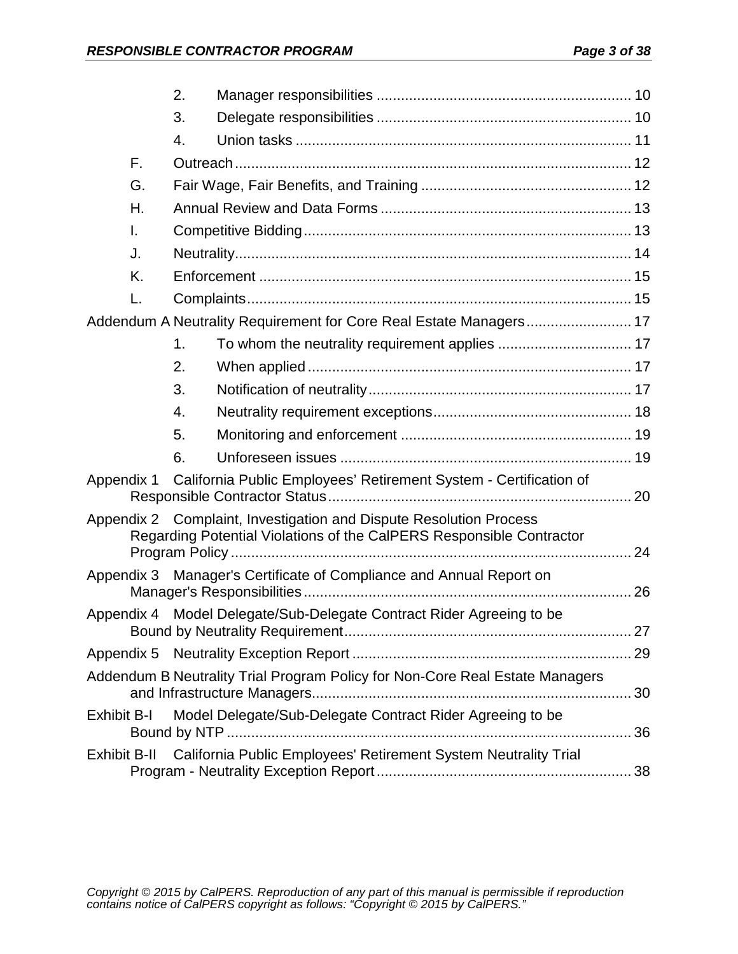|                    | 2.                                                                           |                                                                                                                                            |  |  |
|--------------------|------------------------------------------------------------------------------|--------------------------------------------------------------------------------------------------------------------------------------------|--|--|
|                    | 3.                                                                           |                                                                                                                                            |  |  |
|                    | 4.                                                                           |                                                                                                                                            |  |  |
| F.                 |                                                                              |                                                                                                                                            |  |  |
| G.                 |                                                                              |                                                                                                                                            |  |  |
| Η.                 |                                                                              |                                                                                                                                            |  |  |
| I.                 |                                                                              |                                                                                                                                            |  |  |
| J.                 |                                                                              |                                                                                                                                            |  |  |
| K.                 |                                                                              |                                                                                                                                            |  |  |
| L.                 |                                                                              |                                                                                                                                            |  |  |
|                    |                                                                              | Addendum A Neutrality Requirement for Core Real Estate Managers 17                                                                         |  |  |
|                    | 1.                                                                           |                                                                                                                                            |  |  |
|                    | 2.                                                                           |                                                                                                                                            |  |  |
|                    | 3.                                                                           |                                                                                                                                            |  |  |
|                    | 4.                                                                           |                                                                                                                                            |  |  |
|                    | 5.                                                                           |                                                                                                                                            |  |  |
|                    | 6.                                                                           |                                                                                                                                            |  |  |
| Appendix 1         |                                                                              | California Public Employees' Retirement System - Certification of                                                                          |  |  |
|                    |                                                                              | Appendix 2 Complaint, Investigation and Dispute Resolution Process<br>Regarding Potential Violations of the CalPERS Responsible Contractor |  |  |
| Appendix 3         |                                                                              | Manager's Certificate of Compliance and Annual Report on                                                                                   |  |  |
|                    |                                                                              |                                                                                                                                            |  |  |
|                    |                                                                              | Appendix 4 Model Delegate/Sub-Delegate Contract Rider Agreeing to be                                                                       |  |  |
|                    |                                                                              |                                                                                                                                            |  |  |
|                    |                                                                              | Addendum B Neutrality Trial Program Policy for Non-Core Real Estate Managers                                                               |  |  |
| <b>Exhibit B-I</b> | Model Delegate/Sub-Delegate Contract Rider Agreeing to be                    |                                                                                                                                            |  |  |
|                    | Exhibit B-II California Public Employees' Retirement System Neutrality Trial |                                                                                                                                            |  |  |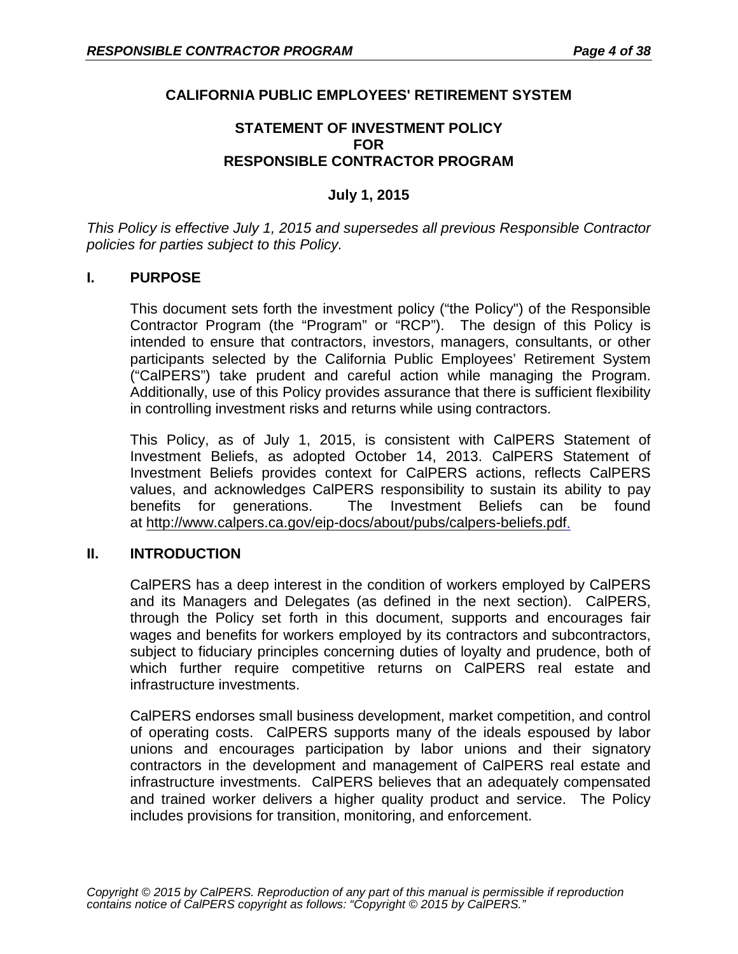## **CALIFORNIA PUBLIC EMPLOYEES' RETIREMENT SYSTEM**

#### **STATEMENT OF INVESTMENT POLICY FOR RESPONSIBLE CONTRACTOR PROGRAM**

### **July 1, 2015**

*This Policy is effective July 1, 2015 and supersedes all previous Responsible Contractor policies for parties subject to this Policy.* 

#### **I. PURPOSE**

This document sets forth the investment policy ("the Policy") of the Responsible Contractor Program (the "Program" or "RCP"). The design of this Policy is intended to ensure that contractors, investors, managers, consultants, or other participants selected by the California Public Employees' Retirement System ("CalPERS") take prudent and careful action while managing the Program. Additionally, use of this Policy provides assurance that there is sufficient flexibility in controlling investment risks and returns while using contractors.

This Policy, as of July 1, 2015, is consistent with CalPERS Statement of Investment Beliefs, as adopted October 14, 2013. CalPERS Statement of Investment Beliefs provides context for CalPERS actions, reflects CalPERS values, and acknowledges CalPERS responsibility to sustain its ability to pay benefits for generations. The Investment Beliefs can be found at [http://www.calpers.ca.gov/eip-docs/about/pubs/calpers-beliefs.pdf.](http://www.calpers.ca.gov/eip-docs/about/pubs/calpers-beliefs.pdf)

#### **II. INTRODUCTION**

CalPERS has a deep interest in the condition of workers employed by CalPERS and its Managers and Delegates (as defined in the next section). CalPERS, through the Policy set forth in this document, supports and encourages fair wages and benefits for workers employed by its contractors and subcontractors, subject to fiduciary principles concerning duties of loyalty and prudence, both of which further require competitive returns on CalPERS real estate and infrastructure investments.

CalPERS endorses small business development, market competition, and control of operating costs. CalPERS supports many of the ideals espoused by labor unions and encourages participation by labor unions and their signatory contractors in the development and management of CalPERS real estate and infrastructure investments. CalPERS believes that an adequately compensated and trained worker delivers a higher quality product and service. The Policy includes provisions for transition, monitoring, and enforcement.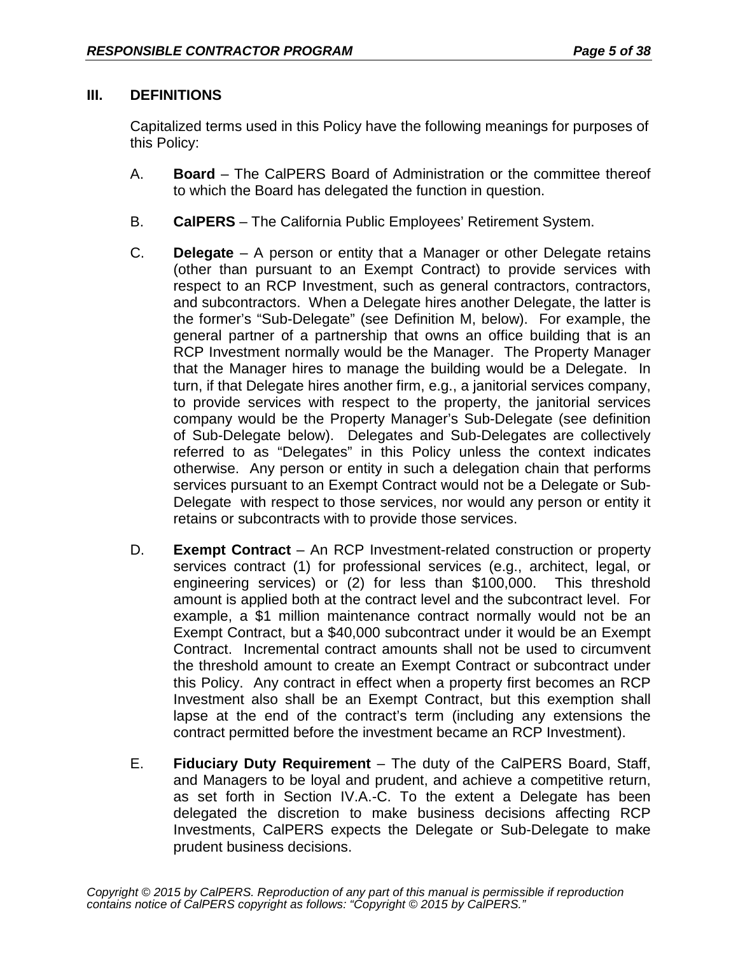# **III. DEFINITIONS**

Capitalized terms used in this Policy have the following meanings for purposes of this Policy:

- A. **Board**  The CalPERS Board of Administration or the committee thereof to which the Board has delegated the function in question.
- B. **CalPERS**  The California Public Employees' Retirement System.
- C. **Delegate** A person or entity that a Manager or other Delegate retains (other than pursuant to an Exempt Contract) to provide services with respect to an RCP Investment, such as general contractors, contractors, and subcontractors. When a Delegate hires another Delegate, the latter is the former's "Sub-Delegate" (see Definition M, below). For example, the general partner of a partnership that owns an office building that is an RCP Investment normally would be the Manager. The Property Manager that the Manager hires to manage the building would be a Delegate. In turn, if that Delegate hires another firm, e.g., a janitorial services company, to provide services with respect to the property, the janitorial services company would be the Property Manager's Sub-Delegate (see definition of Sub-Delegate below). Delegates and Sub-Delegates are collectively referred to as "Delegates" in this Policy unless the context indicates otherwise. Any person or entity in such a delegation chain that performs services pursuant to an Exempt Contract would not be a Delegate or Sub-Delegate with respect to those services, nor would any person or entity it retains or subcontracts with to provide those services.
- D. **Exempt Contract** An RCP Investment-related construction or property services contract (1) for professional services (e.g., architect, legal, or engineering services) or (2) for less than \$100,000. This threshold amount is applied both at the contract level and the subcontract level. For example, a \$1 million maintenance contract normally would not be an Exempt Contract, but a \$40,000 subcontract under it would be an Exempt Contract. Incremental contract amounts shall not be used to circumvent the threshold amount to create an Exempt Contract or subcontract under this Policy. Any contract in effect when a property first becomes an RCP Investment also shall be an Exempt Contract, but this exemption shall lapse at the end of the contract's term (including any extensions the contract permitted before the investment became an RCP Investment).
- E. **Fiduciary Duty Requirement**  The duty of the CalPERS Board, Staff, and Managers to be loyal and prudent, and achieve a competitive return, as set forth in Section IV.A.-C. To the extent a Delegate has been delegated the discretion to make business decisions affecting RCP Investments, CalPERS expects the Delegate or Sub-Delegate to make prudent business decisions.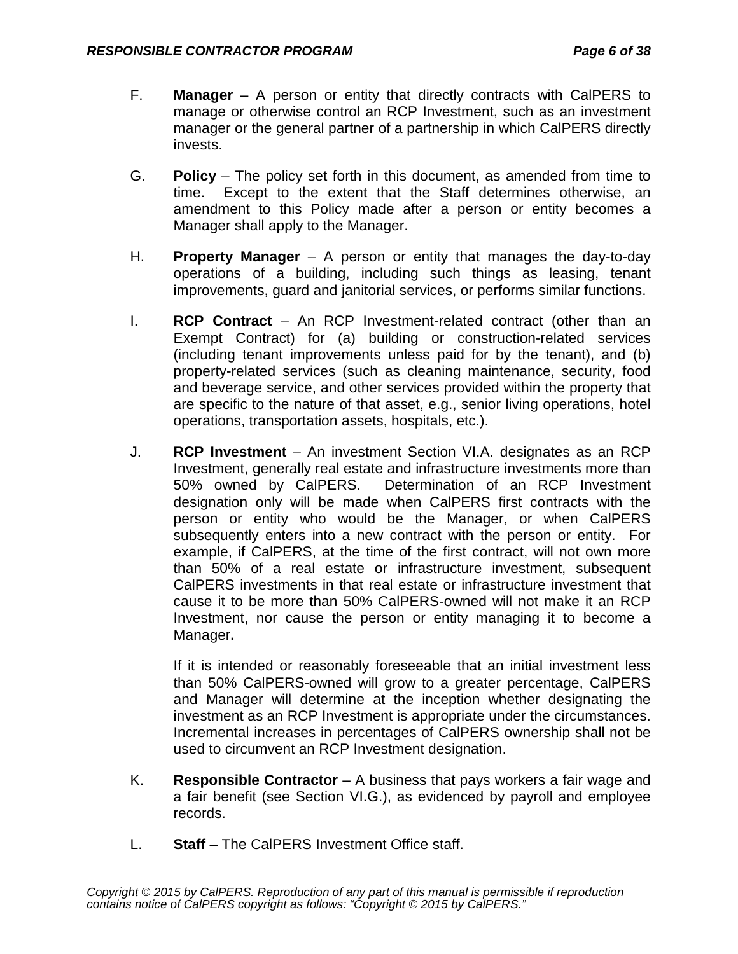- F. **Manager**  A person or entity that directly contracts with CalPERS to manage or otherwise control an RCP Investment, such as an investment manager or the general partner of a partnership in which CalPERS directly invests.
- G. **Policy**  The policy set forth in this document, as amended from time to time. Except to the extent that the Staff determines otherwise, an amendment to this Policy made after a person or entity becomes a Manager shall apply to the Manager.
- H. **Property Manager** A person or entity that manages the day-to-day operations of a building, including such things as leasing, tenant improvements, guard and janitorial services, or performs similar functions.
- I. **RCP Contract**  An RCP Investment-related contract (other than an Exempt Contract) for (a) building or construction-related services (including tenant improvements unless paid for by the tenant), and (b) property-related services (such as cleaning maintenance, security, food and beverage service, and other services provided within the property that are specific to the nature of that asset, e.g., senior living operations, hotel operations, transportation assets, hospitals, etc.).
- J. **RCP Investment** An investment Section VI.A. designates as an RCP Investment, generally real estate and infrastructure investments more than 50% owned by CalPERS. Determination of an RCP Investment designation only will be made when CalPERS first contracts with the person or entity who would be the Manager, or when CalPERS subsequently enters into a new contract with the person or entity. For example, if CalPERS, at the time of the first contract, will not own more than 50% of a real estate or infrastructure investment, subsequent CalPERS investments in that real estate or infrastructure investment that cause it to be more than 50% CalPERS-owned will not make it an RCP Investment, nor cause the person or entity managing it to become a Manager**.**

If it is intended or reasonably foreseeable that an initial investment less than 50% CalPERS-owned will grow to a greater percentage, CalPERS and Manager will determine at the inception whether designating the investment as an RCP Investment is appropriate under the circumstances. Incremental increases in percentages of CalPERS ownership shall not be used to circumvent an RCP Investment designation.

- K. **Responsible Contractor**  A business that pays workers a fair wage and a fair benefit (see Section VI.G.), as evidenced by payroll and employee records.
- L. **Staff**  The CalPERS Investment Office staff.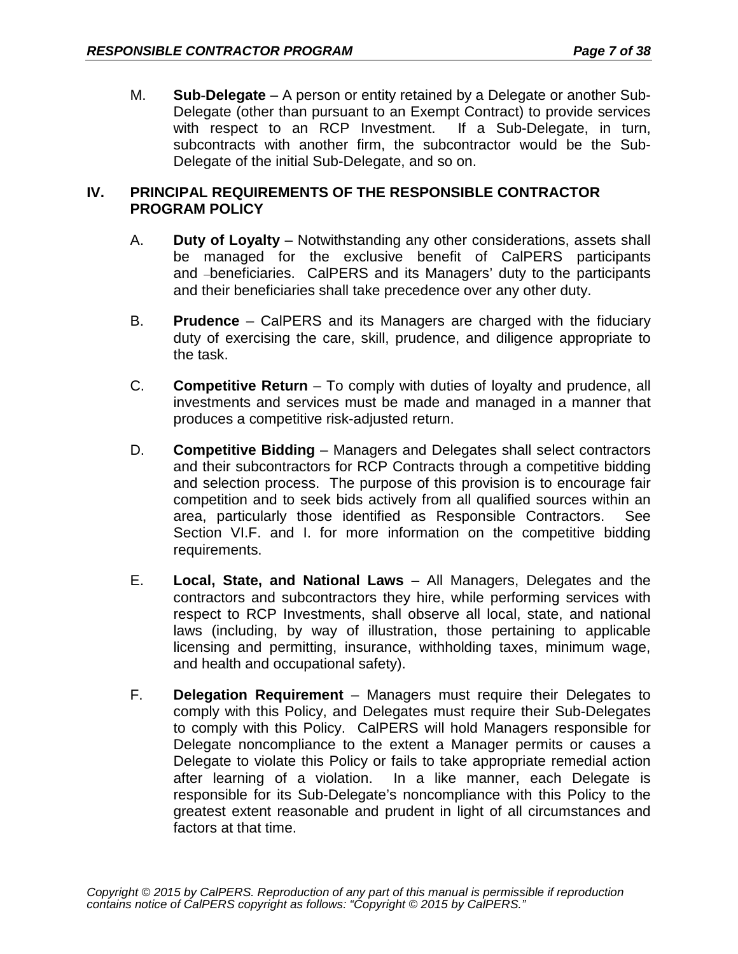M. **Sub-Delegate** – A person or entity retained by a Delegate or another Sub-Delegate (other than pursuant to an Exempt Contract) to provide services with respect to an RCP Investment. If a Sub-Delegate, in turn, subcontracts with another firm, the subcontractor would be the Sub-Delegate of the initial Sub-Delegate, and so on.

### **IV. PRINCIPAL REQUIREMENTS OF THE RESPONSIBLE CONTRACTOR PROGRAM POLICY**

- A. **Duty of Loyalty**  Notwithstanding any other considerations, assets shall be managed for the exclusive benefit of CalPERS participants and -beneficiaries. CalPERS and its Managers' duty to the participants and their beneficiaries shall take precedence over any other duty.
- B. **Prudence**  CalPERS and its Managers are charged with the fiduciary duty of exercising the care, skill, prudence, and diligence appropriate to the task.
- C. **Competitive Return** To comply with duties of loyalty and prudence, all investments and services must be made and managed in a manner that produces a competitive risk-adjusted return.
- D. **Competitive Bidding**  Managers and Delegates shall select contractors and their subcontractors for RCP Contracts through a competitive bidding and selection process. The purpose of this provision is to encourage fair competition and to seek bids actively from all qualified sources within an area, particularly those identified as Responsible Contractors. See Section VI.F. and I. for more information on the competitive bidding requirements.
- E. **Local, State, and National Laws** All Managers, Delegates and the contractors and subcontractors they hire, while performing services with respect to RCP Investments, shall observe all local, state, and national laws (including, by way of illustration, those pertaining to applicable licensing and permitting, insurance, withholding taxes, minimum wage, and health and occupational safety).
- F. **Delegation Requirement** Managers must require their Delegates to comply with this Policy, and Delegates must require their Sub-Delegates to comply with this Policy. CalPERS will hold Managers responsible for Delegate noncompliance to the extent a Manager permits or causes a Delegate to violate this Policy or fails to take appropriate remedial action after learning of a violation. In a like manner, each Delegate is responsible for its Sub-Delegate's noncompliance with this Policy to the greatest extent reasonable and prudent in light of all circumstances and factors at that time.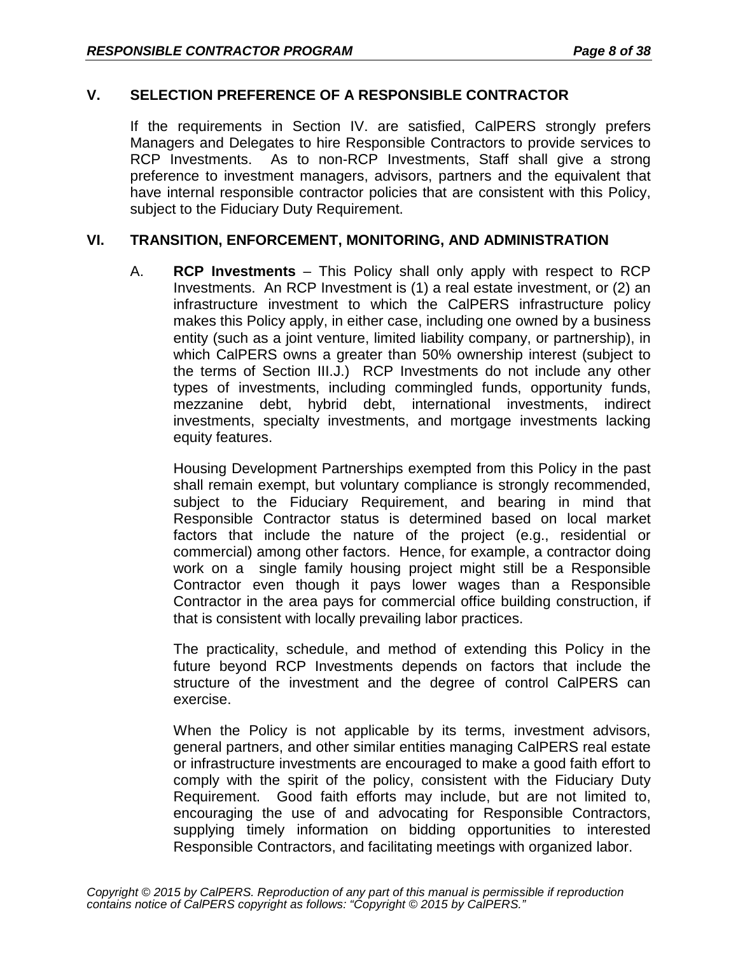## **V. SELECTION PREFERENCE OF A RESPONSIBLE CONTRACTOR**

If the requirements in Section IV. are satisfied, CalPERS strongly prefers Managers and Delegates to hire Responsible Contractors to provide services to RCP Investments. As to non-RCP Investments, Staff shall give a strong preference to investment managers, advisors, partners and the equivalent that have internal responsible contractor policies that are consistent with this Policy, subject to the Fiduciary Duty Requirement.

### **VI. TRANSITION, ENFORCEMENT, MONITORING, AND ADMINISTRATION**

A. **RCP Investments** – This Policy shall only apply with respect to RCP Investments. An RCP Investment is (1) a real estate investment, or (2) an infrastructure investment to which the CalPERS infrastructure policy makes this Policy apply, in either case, including one owned by a business entity (such as a joint venture, limited liability company, or partnership), in which CalPERS owns a greater than 50% ownership interest (subject to the terms of Section III.J.) RCP Investments do not include any other types of investments, including commingled funds, opportunity funds, mezzanine debt, hybrid debt, international investments, indirect investments, specialty investments, and mortgage investments lacking equity features.

Housing Development Partnerships exempted from this Policy in the past shall remain exempt, but voluntary compliance is strongly recommended, subject to the Fiduciary Requirement, and bearing in mind that Responsible Contractor status is determined based on local market factors that include the nature of the project (e.g., residential or commercial) among other factors. Hence, for example, a contractor doing work on a single family housing project might still be a Responsible Contractor even though it pays lower wages than a Responsible Contractor in the area pays for commercial office building construction, if that is consistent with locally prevailing labor practices.

The practicality, schedule, and method of extending this Policy in the future beyond RCP Investments depends on factors that include the structure of the investment and the degree of control CalPERS can exercise.

When the Policy is not applicable by its terms, investment advisors, general partners, and other similar entities managing CalPERS real estate or infrastructure investments are encouraged to make a good faith effort to comply with the spirit of the policy, consistent with the Fiduciary Duty Requirement. Good faith efforts may include, but are not limited to, encouraging the use of and advocating for Responsible Contractors, supplying timely information on bidding opportunities to interested Responsible Contractors, and facilitating meetings with organized labor.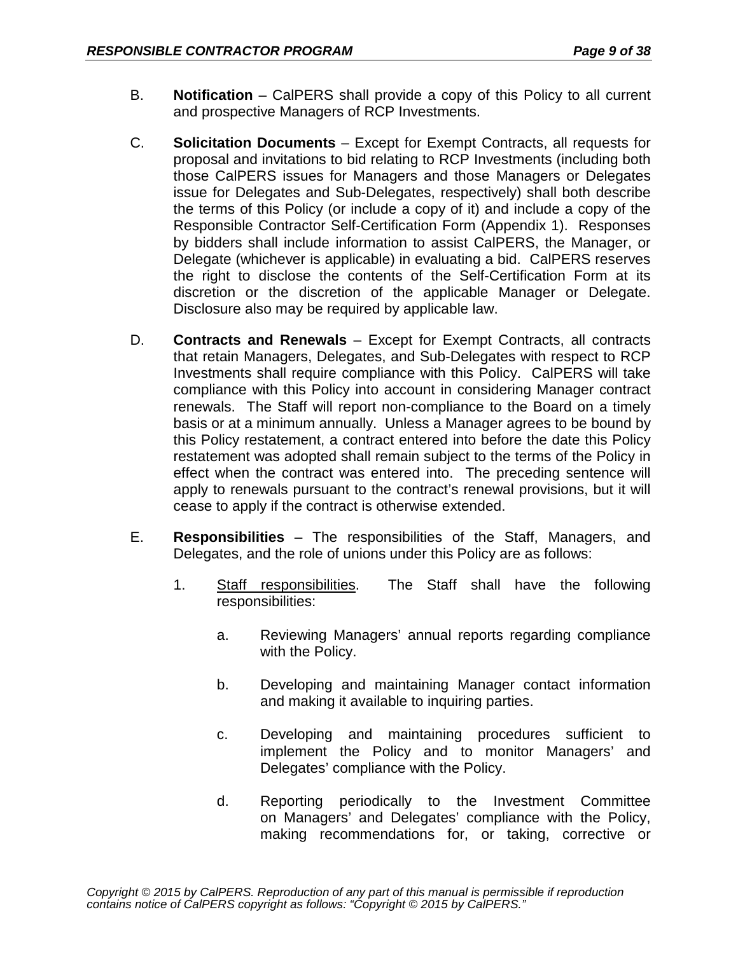- B. **Notification**  CalPERS shall provide a copy of this Policy to all current and prospective Managers of RCP Investments.
- C. **Solicitation Documents** Except for Exempt Contracts, all requests for proposal and invitations to bid relating to RCP Investments (including both those CalPERS issues for Managers and those Managers or Delegates issue for Delegates and Sub-Delegates, respectively) shall both describe the terms of this Policy (or include a copy of it) and include a copy of the Responsible Contractor Self-Certification Form (Appendix 1). Responses by bidders shall include information to assist CalPERS, the Manager, or Delegate (whichever is applicable) in evaluating a bid. CalPERS reserves the right to disclose the contents of the Self-Certification Form at its discretion or the discretion of the applicable Manager or Delegate. Disclosure also may be required by applicable law.
- D. **Contracts and Renewals**  Except for Exempt Contracts, all contracts that retain Managers, Delegates, and Sub-Delegates with respect to RCP Investments shall require compliance with this Policy. CalPERS will take compliance with this Policy into account in considering Manager contract renewals. The Staff will report non-compliance to the Board on a timely basis or at a minimum annually. Unless a Manager agrees to be bound by this Policy restatement, a contract entered into before the date this Policy restatement was adopted shall remain subject to the terms of the Policy in effect when the contract was entered into. The preceding sentence will apply to renewals pursuant to the contract's renewal provisions, but it will cease to apply if the contract is otherwise extended.
- E. **Responsibilities**  The responsibilities of the Staff, Managers, and Delegates, and the role of unions under this Policy are as follows:
	- 1. Staff responsibilities. The Staff shall have the following responsibilities:
		- a. Reviewing Managers' annual reports regarding compliance with the Policy.
		- b. Developing and maintaining Manager contact information and making it available to inquiring parties.
		- c. Developing and maintaining procedures sufficient to implement the Policy and to monitor Managers' and Delegates' compliance with the Policy.
		- d. Reporting periodically to the Investment Committee on Managers' and Delegates' compliance with the Policy, making recommendations for, or taking, corrective or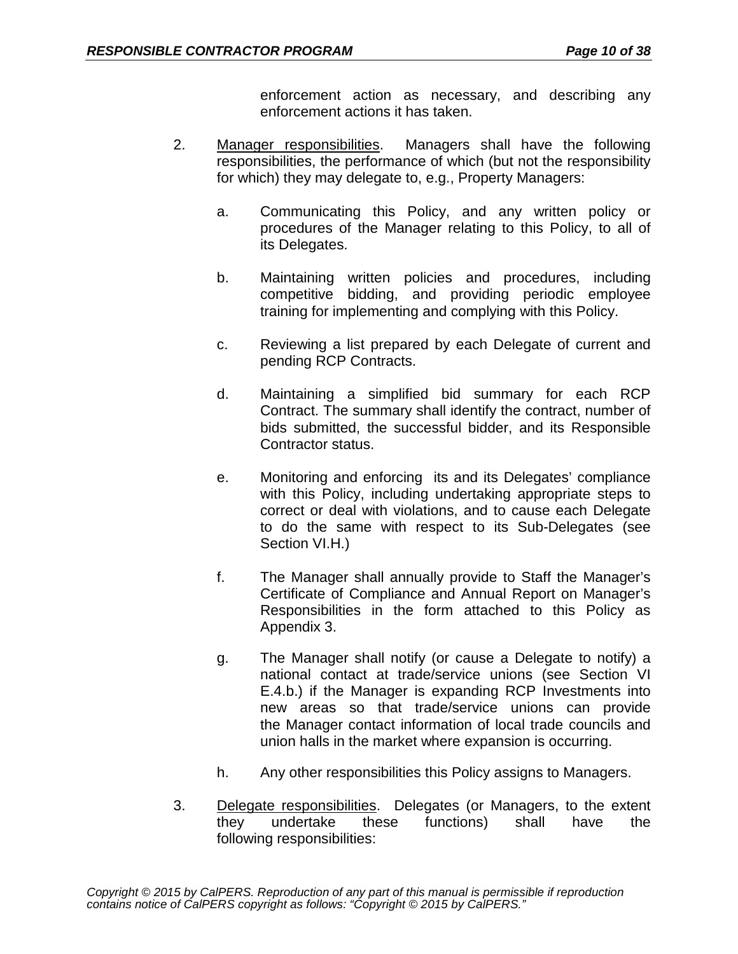enforcement action as necessary, and describing any enforcement actions it has taken.

- 2. Manager responsibilities. Managers shall have the following responsibilities, the performance of which (but not the responsibility for which) they may delegate to, e.g., Property Managers:
	- a. Communicating this Policy, and any written policy or procedures of the Manager relating to this Policy, to all of its Delegates.
	- b. Maintaining written policies and procedures, including competitive bidding, and providing periodic employee training for implementing and complying with this Policy.
	- c. Reviewing a list prepared by each Delegate of current and pending RCP Contracts.
	- d. Maintaining a simplified bid summary for each RCP Contract. The summary shall identify the contract, number of bids submitted, the successful bidder, and its Responsible Contractor status.
	- e. Monitoring and enforcing its and its Delegates' compliance with this Policy, including undertaking appropriate steps to correct or deal with violations, and to cause each Delegate to do the same with respect to its Sub-Delegates (see Section VI.H.)
	- f. The Manager shall annually provide to Staff the Manager's Certificate of Compliance and Annual Report on Manager's Responsibilities in the form attached to this Policy as Appendix 3.
	- g. The Manager shall notify (or cause a Delegate to notify) a national contact at trade/service unions (see Section VI E.4.b.) if the Manager is expanding RCP Investments into new areas so that trade/service unions can provide the Manager contact information of local trade councils and union halls in the market where expansion is occurring.
	- h. Any other responsibilities this Policy assigns to Managers.
- 3. Delegate responsibilities. Delegates (or Managers, to the extent they undertake these functions) shall have the following responsibilities: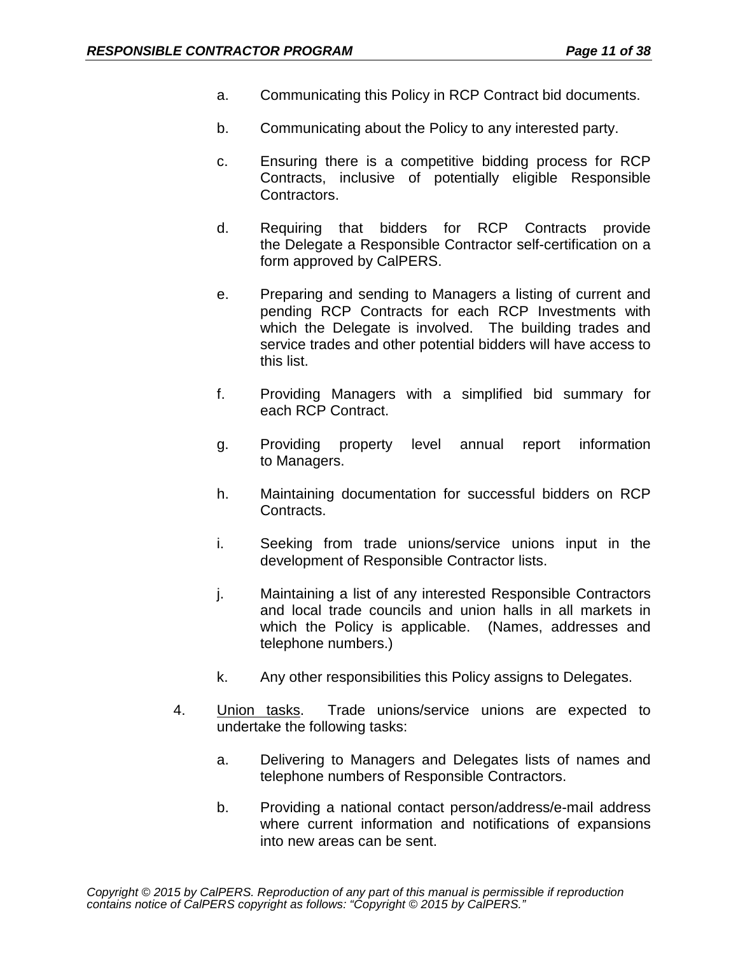- a. Communicating this Policy in RCP Contract bid documents.
- b. Communicating about the Policy to any interested party.
- c. Ensuring there is a competitive bidding process for RCP Contracts, inclusive of potentially eligible Responsible Contractors.
- d. Requiring that bidders for RCP Contracts provide the Delegate a Responsible Contractor self-certification on a form approved by CalPERS.
- e. Preparing and sending to Managers a listing of current and pending RCP Contracts for each RCP Investments with which the Delegate is involved. The building trades and service trades and other potential bidders will have access to this list.
- f. Providing Managers with a simplified bid summary for each RCP Contract.
- g. Providing property level annual report information to Managers.
- h. Maintaining documentation for successful bidders on RCP Contracts.
- i. Seeking from trade unions/service unions input in the development of Responsible Contractor lists.
- j. Maintaining a list of any interested Responsible Contractors and local trade councils and union halls in all markets in which the Policy is applicable. (Names, addresses and telephone numbers.)
- k. Any other responsibilities this Policy assigns to Delegates.
- 4. Union tasks. Trade unions/service unions are expected to undertake the following tasks:
	- a. Delivering to Managers and Delegates lists of names and telephone numbers of Responsible Contractors.
	- b. Providing a national contact person/address/e-mail address where current information and notifications of expansions into new areas can be sent.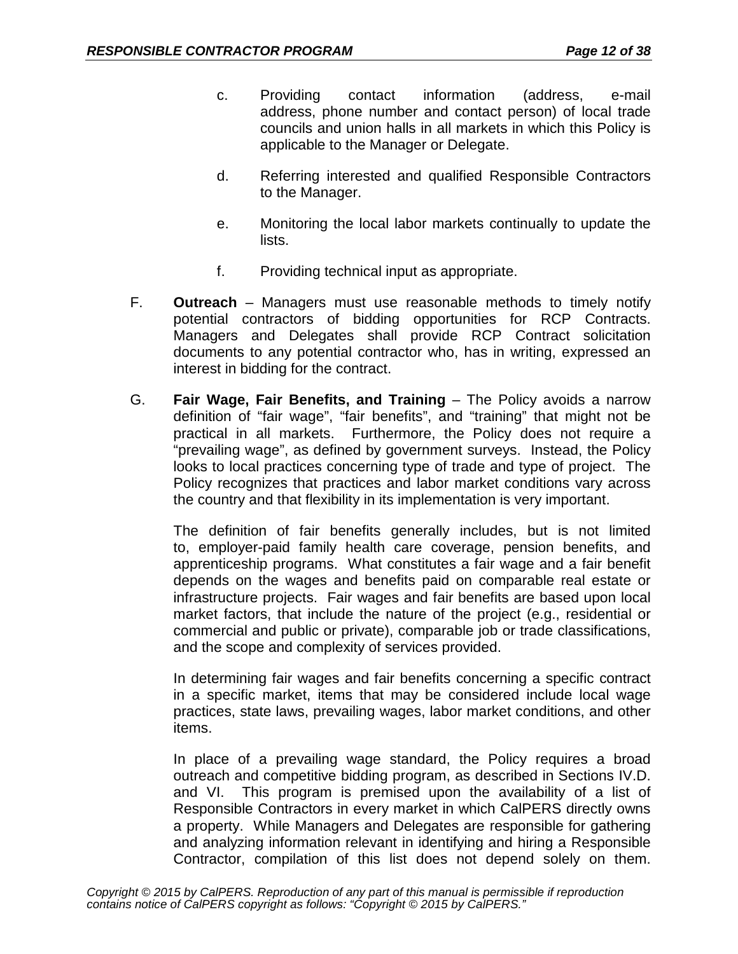- c. Providing contact information (address, e-mail address, phone number and contact person) of local trade councils and union halls in all markets in which this Policy is applicable to the Manager or Delegate.
- d. Referring interested and qualified Responsible Contractors to the Manager.
- e. Monitoring the local labor markets continually to update the lists.
- f. Providing technical input as appropriate.
- F. **Outreach**  Managers must use reasonable methods to timely notify potential contractors of bidding opportunities for RCP Contracts. Managers and Delegates shall provide RCP Contract solicitation documents to any potential contractor who, has in writing, expressed an interest in bidding for the contract.
- G. **Fair Wage, Fair Benefits, and Training**  The Policy avoids a narrow definition of "fair wage", "fair benefits", and "training" that might not be practical in all markets. Furthermore, the Policy does not require a "prevailing wage", as defined by government surveys. Instead, the Policy looks to local practices concerning type of trade and type of project. The Policy recognizes that practices and labor market conditions vary across the country and that flexibility in its implementation is very important.

The definition of fair benefits generally includes, but is not limited to, employer-paid family health care coverage, pension benefits, and apprenticeship programs. What constitutes a fair wage and a fair benefit depends on the wages and benefits paid on comparable real estate or infrastructure projects. Fair wages and fair benefits are based upon local market factors, that include the nature of the project (e.g., residential or commercial and public or private), comparable job or trade classifications, and the scope and complexity of services provided.

In determining fair wages and fair benefits concerning a specific contract in a specific market, items that may be considered include local wage practices, state laws, prevailing wages, labor market conditions, and other items.

In place of a prevailing wage standard, the Policy requires a broad outreach and competitive bidding program, as described in Sections IV.D. and VI. This program is premised upon the availability of a list of Responsible Contractors in every market in which CalPERS directly owns a property. While Managers and Delegates are responsible for gathering and analyzing information relevant in identifying and hiring a Responsible Contractor, compilation of this list does not depend solely on them.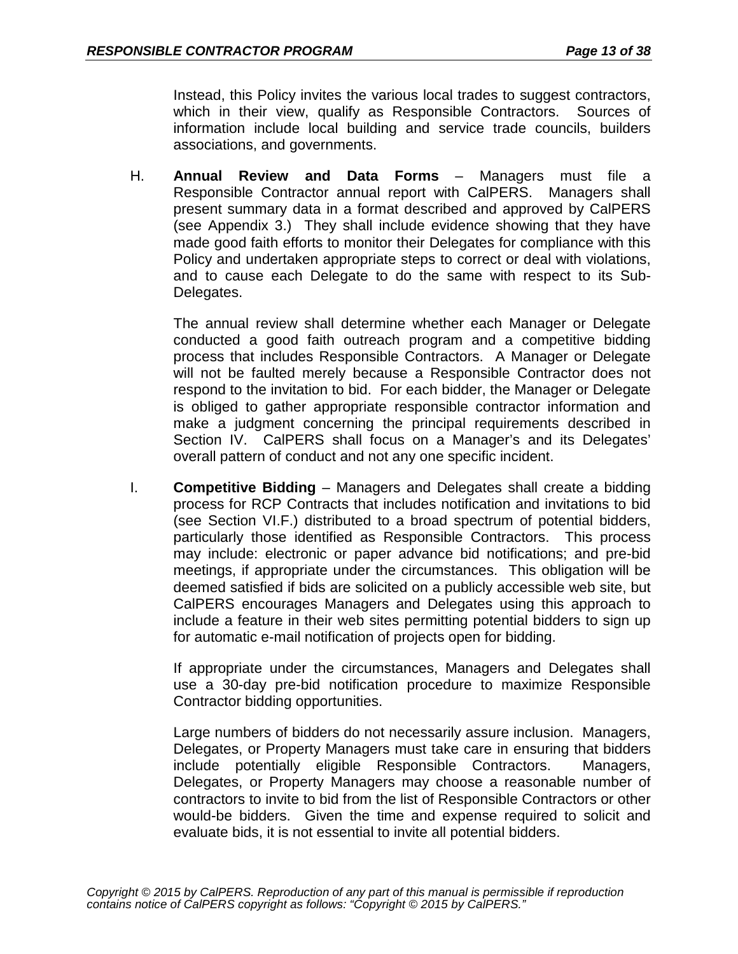Instead, this Policy invites the various local trades to suggest contractors, which in their view, qualify as Responsible Contractors. Sources of information include local building and service trade councils, builders associations, and governments.

H. **Annual Review and Data Forms** – Managers must file a Responsible Contractor annual report with CalPERS. Managers shall present summary data in a format described and approved by CalPERS (see Appendix 3.) They shall include evidence showing that they have made good faith efforts to monitor their Delegates for compliance with this Policy and undertaken appropriate steps to correct or deal with violations, and to cause each Delegate to do the same with respect to its Sub-Delegates.

The annual review shall determine whether each Manager or Delegate conducted a good faith outreach program and a competitive bidding process that includes Responsible Contractors. A Manager or Delegate will not be faulted merely because a Responsible Contractor does not respond to the invitation to bid. For each bidder, the Manager or Delegate is obliged to gather appropriate responsible contractor information and make a judgment concerning the principal requirements described in Section IV. CalPERS shall focus on a Manager's and its Delegates' overall pattern of conduct and not any one specific incident.

I. **Competitive Bidding** – Managers and Delegates shall create a bidding process for RCP Contracts that includes notification and invitations to bid (see Section VI.F.) distributed to a broad spectrum of potential bidders, particularly those identified as Responsible Contractors. This process may include: electronic or paper advance bid notifications; and pre-bid meetings, if appropriate under the circumstances. This obligation will be deemed satisfied if bids are solicited on a publicly accessible web site, but CalPERS encourages Managers and Delegates using this approach to include a feature in their web sites permitting potential bidders to sign up for automatic e-mail notification of projects open for bidding.

If appropriate under the circumstances, Managers and Delegates shall use a 30-day pre-bid notification procedure to maximize Responsible Contractor bidding opportunities.

Large numbers of bidders do not necessarily assure inclusion. Managers, Delegates, or Property Managers must take care in ensuring that bidders include potentially eligible Responsible Contractors. Managers, Delegates, or Property Managers may choose a reasonable number of contractors to invite to bid from the list of Responsible Contractors or other would-be bidders. Given the time and expense required to solicit and evaluate bids, it is not essential to invite all potential bidders.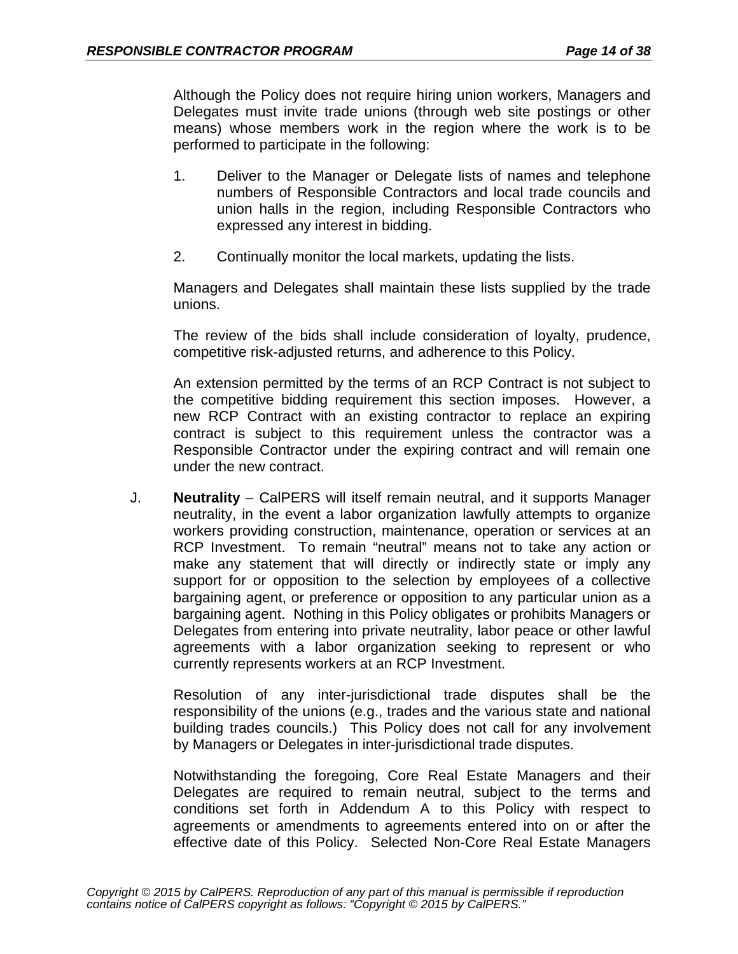Although the Policy does not require hiring union workers, Managers and Delegates must invite trade unions (through web site postings or other means) whose members work in the region where the work is to be performed to participate in the following:

- 1. Deliver to the Manager or Delegate lists of names and telephone numbers of Responsible Contractors and local trade councils and union halls in the region, including Responsible Contractors who expressed any interest in bidding.
- 2. Continually monitor the local markets, updating the lists.

Managers and Delegates shall maintain these lists supplied by the trade unions.

The review of the bids shall include consideration of loyalty, prudence, competitive risk-adjusted returns, and adherence to this Policy.

An extension permitted by the terms of an RCP Contract is not subject to the competitive bidding requirement this section imposes. However, a new RCP Contract with an existing contractor to replace an expiring contract is subject to this requirement unless the contractor was a Responsible Contractor under the expiring contract and will remain one under the new contract.

J. **Neutrality** – CalPERS will itself remain neutral, and it supports Manager neutrality, in the event a labor organization lawfully attempts to organize workers providing construction, maintenance, operation or services at an RCP Investment. To remain "neutral" means not to take any action or make any statement that will directly or indirectly state or imply any support for or opposition to the selection by employees of a collective bargaining agent, or preference or opposition to any particular union as a bargaining agent. Nothing in this Policy obligates or prohibits Managers or Delegates from entering into private neutrality, labor peace or other lawful agreements with a labor organization seeking to represent or who currently represents workers at an RCP Investment.

Resolution of any inter-jurisdictional trade disputes shall be the responsibility of the unions (e.g., trades and the various state and national building trades councils.) This Policy does not call for any involvement by Managers or Delegates in inter-jurisdictional trade disputes.

Notwithstanding the foregoing, Core Real Estate Managers and their Delegates are required to remain neutral, subject to the terms and conditions set forth in Addendum A to this Policy with respect to agreements or amendments to agreements entered into on or after the effective date of this Policy. Selected Non-Core Real Estate Managers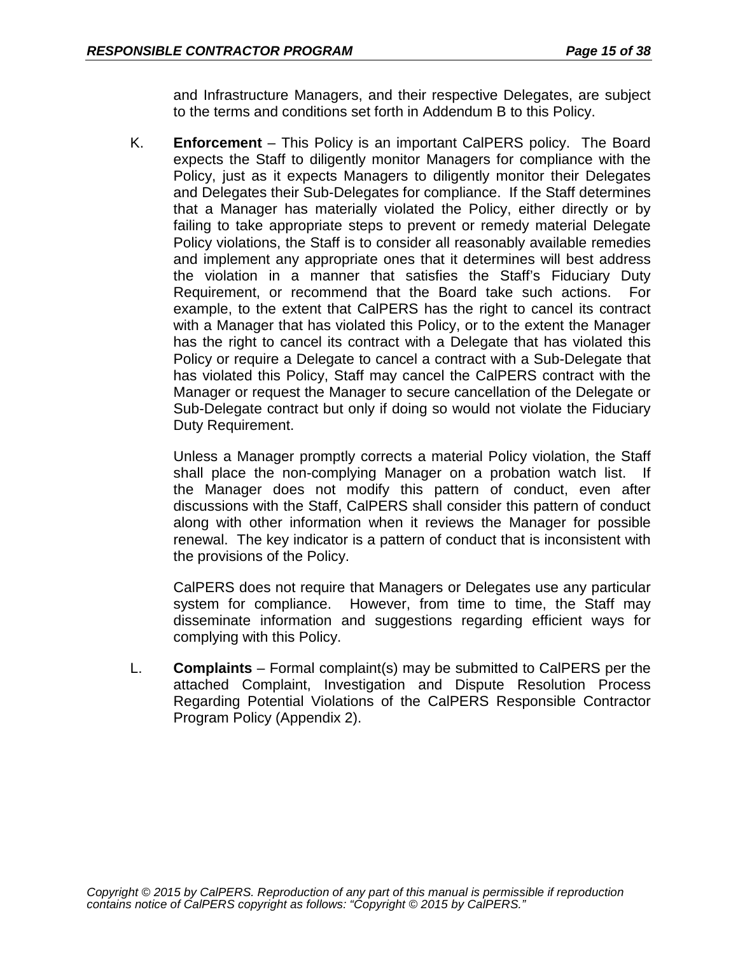and Infrastructure Managers, and their respective Delegates, are subject to the terms and conditions set forth in Addendum B to this Policy.

K. **Enforcement** – This Policy is an important CalPERS policy. The Board expects the Staff to diligently monitor Managers for compliance with the Policy, just as it expects Managers to diligently monitor their Delegates and Delegates their Sub-Delegates for compliance. If the Staff determines that a Manager has materially violated the Policy, either directly or by failing to take appropriate steps to prevent or remedy material Delegate Policy violations, the Staff is to consider all reasonably available remedies and implement any appropriate ones that it determines will best address the violation in a manner that satisfies the Staff's Fiduciary Duty Requirement, or recommend that the Board take such actions. For example, to the extent that CalPERS has the right to cancel its contract with a Manager that has violated this Policy, or to the extent the Manager has the right to cancel its contract with a Delegate that has violated this Policy or require a Delegate to cancel a contract with a Sub-Delegate that has violated this Policy, Staff may cancel the CalPERS contract with the Manager or request the Manager to secure cancellation of the Delegate or Sub-Delegate contract but only if doing so would not violate the Fiduciary Duty Requirement.

Unless a Manager promptly corrects a material Policy violation, the Staff shall place the non-complying Manager on a probation watch list. If the Manager does not modify this pattern of conduct, even after discussions with the Staff, CalPERS shall consider this pattern of conduct along with other information when it reviews the Manager for possible renewal. The key indicator is a pattern of conduct that is inconsistent with the provisions of the Policy.

CalPERS does not require that Managers or Delegates use any particular system for compliance. However, from time to time, the Staff may disseminate information and suggestions regarding efficient ways for complying with this Policy.

L. **Complaints** – Formal complaint(s) may be submitted to CalPERS per the attached Complaint, Investigation and Dispute Resolution Process Regarding Potential Violations of the CalPERS Responsible Contractor Program Policy (Appendix 2).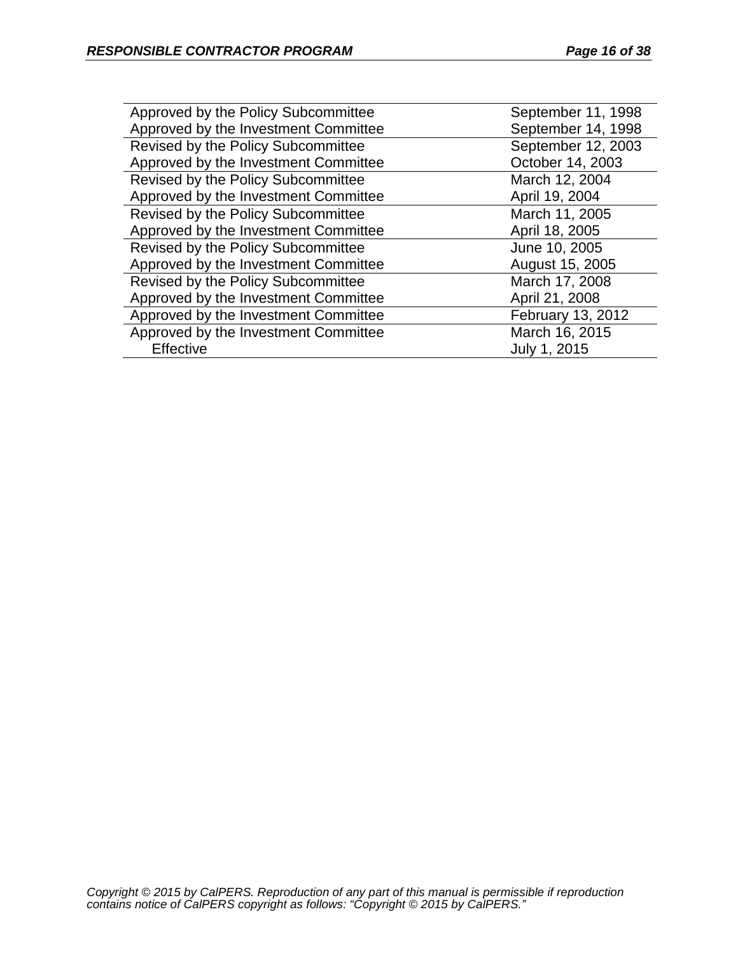| Approved by the Policy Subcommittee  | September 11, 1998 |
|--------------------------------------|--------------------|
| Approved by the Investment Committee | September 14, 1998 |
| Revised by the Policy Subcommittee   | September 12, 2003 |
| Approved by the Investment Committee | October 14, 2003   |
| Revised by the Policy Subcommittee   | March 12, 2004     |
| Approved by the Investment Committee | April 19, 2004     |
| Revised by the Policy Subcommittee   | March 11, 2005     |
| Approved by the Investment Committee | April 18, 2005     |
| Revised by the Policy Subcommittee   | June 10, 2005      |
| Approved by the Investment Committee | August 15, 2005    |
| Revised by the Policy Subcommittee   | March 17, 2008     |
| Approved by the Investment Committee | April 21, 2008     |
| Approved by the Investment Committee | February 13, 2012  |
| Approved by the Investment Committee | March 16, 2015     |
| Effective                            | July 1, 2015       |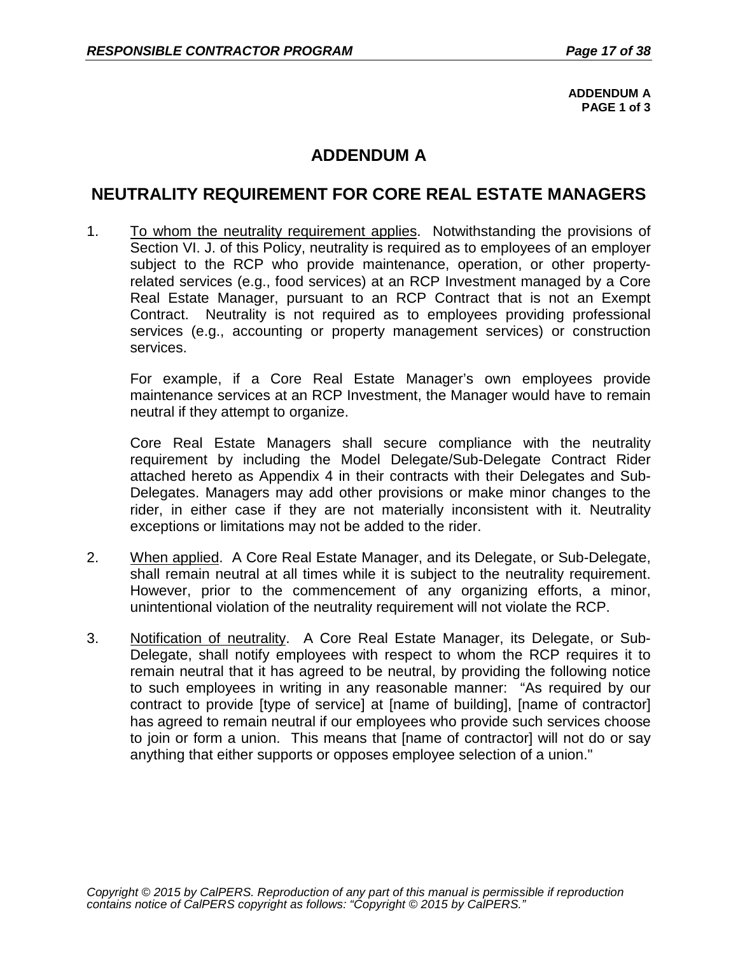**ADDENDUM A PAGE 1 of 3**

# **ADDENDUM A**

# **NEUTRALITY REQUIREMENT FOR CORE REAL ESTATE MANAGERS**

1. To whom the neutrality requirement applies. Notwithstanding the provisions of Section VI. J. of this Policy, neutrality is required as to employees of an employer subject to the RCP who provide maintenance, operation, or other propertyrelated services (e.g., food services) at an RCP Investment managed by a Core Real Estate Manager, pursuant to an RCP Contract that is not an Exempt Contract. Neutrality is not required as to employees providing professional services (e.g., accounting or property management services) or construction services.

For example, if a Core Real Estate Manager's own employees provide maintenance services at an RCP Investment, the Manager would have to remain neutral if they attempt to organize.

Core Real Estate Managers shall secure compliance with the neutrality requirement by including the Model Delegate/Sub-Delegate Contract Rider attached hereto as Appendix 4 in their contracts with their Delegates and Sub-Delegates. Managers may add other provisions or make minor changes to the rider, in either case if they are not materially inconsistent with it. Neutrality exceptions or limitations may not be added to the rider.

- 2. When applied. A Core Real Estate Manager, and its Delegate, or Sub-Delegate, shall remain neutral at all times while it is subject to the neutrality requirement. However, prior to the commencement of any organizing efforts, a minor, unintentional violation of the neutrality requirement will not violate the RCP.
- 3. Notification of neutrality. A Core Real Estate Manager, its Delegate, or Sub-Delegate, shall notify employees with respect to whom the RCP requires it to remain neutral that it has agreed to be neutral, by providing the following notice to such employees in writing in any reasonable manner: "As required by our contract to provide [type of service] at [name of building], [name of contractor] has agreed to remain neutral if our employees who provide such services choose to join or form a union. This means that [name of contractor] will not do or say anything that either supports or opposes employee selection of a union."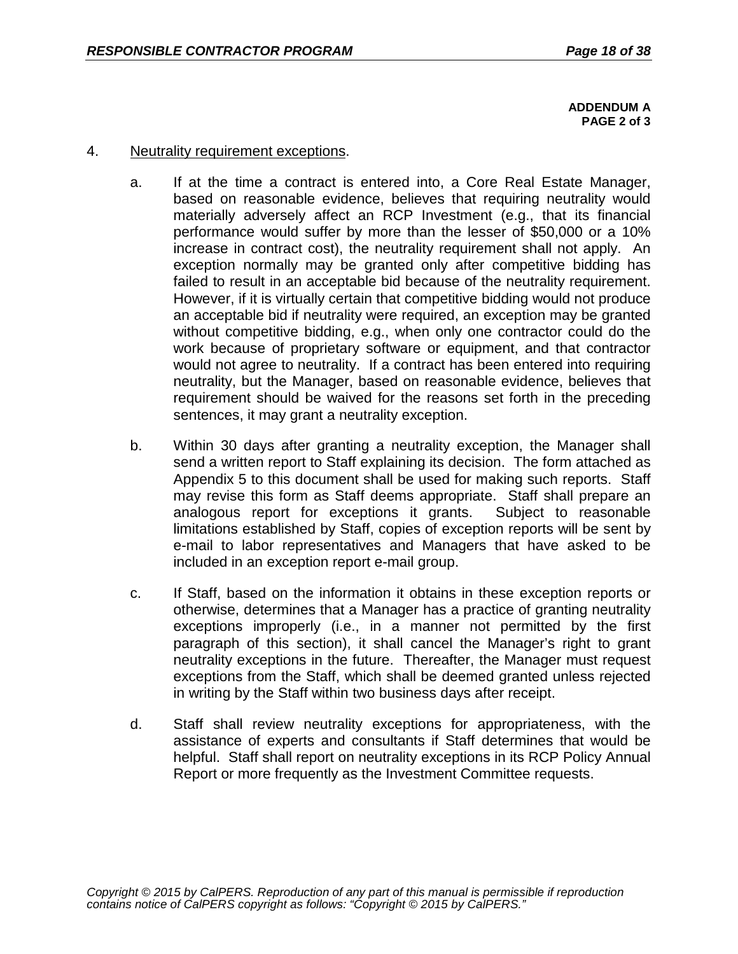**ADDENDUM A PAGE 2 of 3**

#### 4. Neutrality requirement exceptions.

- a. If at the time a contract is entered into, a Core Real Estate Manager, based on reasonable evidence, believes that requiring neutrality would materially adversely affect an RCP Investment (e.g., that its financial performance would suffer by more than the lesser of \$50,000 or a 10% increase in contract cost), the neutrality requirement shall not apply. An exception normally may be granted only after competitive bidding has failed to result in an acceptable bid because of the neutrality requirement. However, if it is virtually certain that competitive bidding would not produce an acceptable bid if neutrality were required, an exception may be granted without competitive bidding, e.g., when only one contractor could do the work because of proprietary software or equipment, and that contractor would not agree to neutrality. If a contract has been entered into requiring neutrality, but the Manager, based on reasonable evidence, believes that requirement should be waived for the reasons set forth in the preceding sentences, it may grant a neutrality exception.
- b. Within 30 days after granting a neutrality exception, the Manager shall send a written report to Staff explaining its decision. The form attached as Appendix 5 to this document shall be used for making such reports. Staff may revise this form as Staff deems appropriate. Staff shall prepare an analogous report for exceptions it grants. Subject to reasonable limitations established by Staff, copies of exception reports will be sent by e-mail to labor representatives and Managers that have asked to be included in an exception report e-mail group.
- c. If Staff, based on the information it obtains in these exception reports or otherwise, determines that a Manager has a practice of granting neutrality exceptions improperly (i.e., in a manner not permitted by the first paragraph of this section), it shall cancel the Manager's right to grant neutrality exceptions in the future. Thereafter, the Manager must request exceptions from the Staff, which shall be deemed granted unless rejected in writing by the Staff within two business days after receipt.
- d. Staff shall review neutrality exceptions for appropriateness, with the assistance of experts and consultants if Staff determines that would be helpful. Staff shall report on neutrality exceptions in its RCP Policy Annual Report or more frequently as the Investment Committee requests.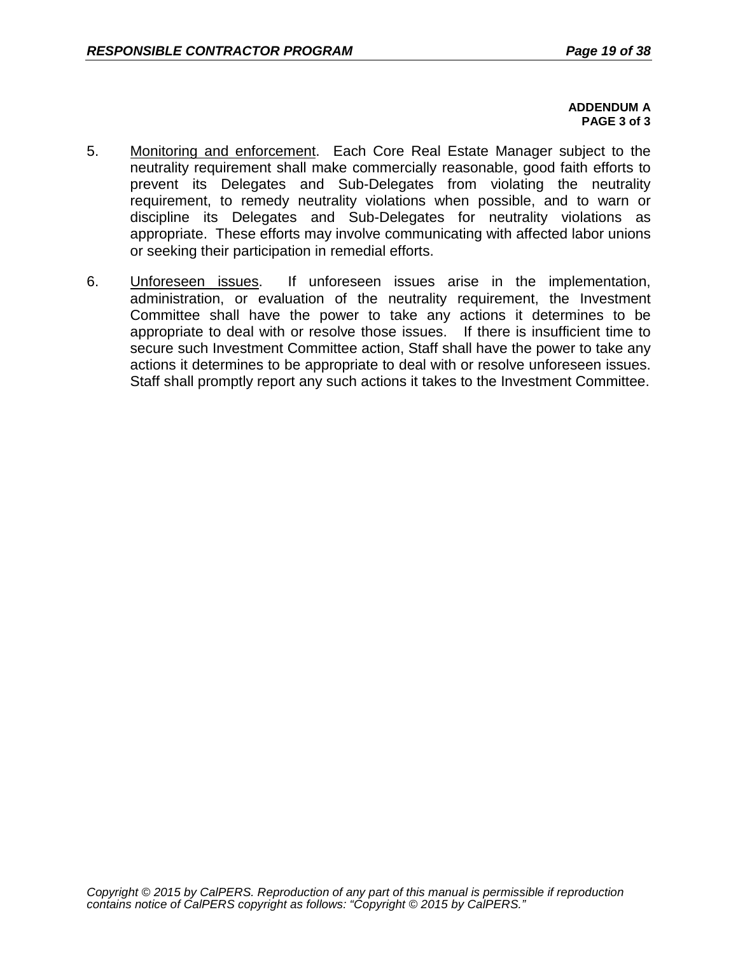#### **ADDENDUM A PAGE 3 of 3**

- 5. Monitoring and enforcement. Each Core Real Estate Manager subject to the neutrality requirement shall make commercially reasonable, good faith efforts to prevent its Delegates and Sub-Delegates from violating the neutrality requirement, to remedy neutrality violations when possible, and to warn or discipline its Delegates and Sub-Delegates for neutrality violations as appropriate. These efforts may involve communicating with affected labor unions or seeking their participation in remedial efforts.
- 6. Unforeseen issues. If unforeseen issues arise in the implementation, administration, or evaluation of the neutrality requirement, the Investment Committee shall have the power to take any actions it determines to be appropriate to deal with or resolve those issues. If there is insufficient time to secure such Investment Committee action, Staff shall have the power to take any actions it determines to be appropriate to deal with or resolve unforeseen issues. Staff shall promptly report any such actions it takes to the Investment Committee.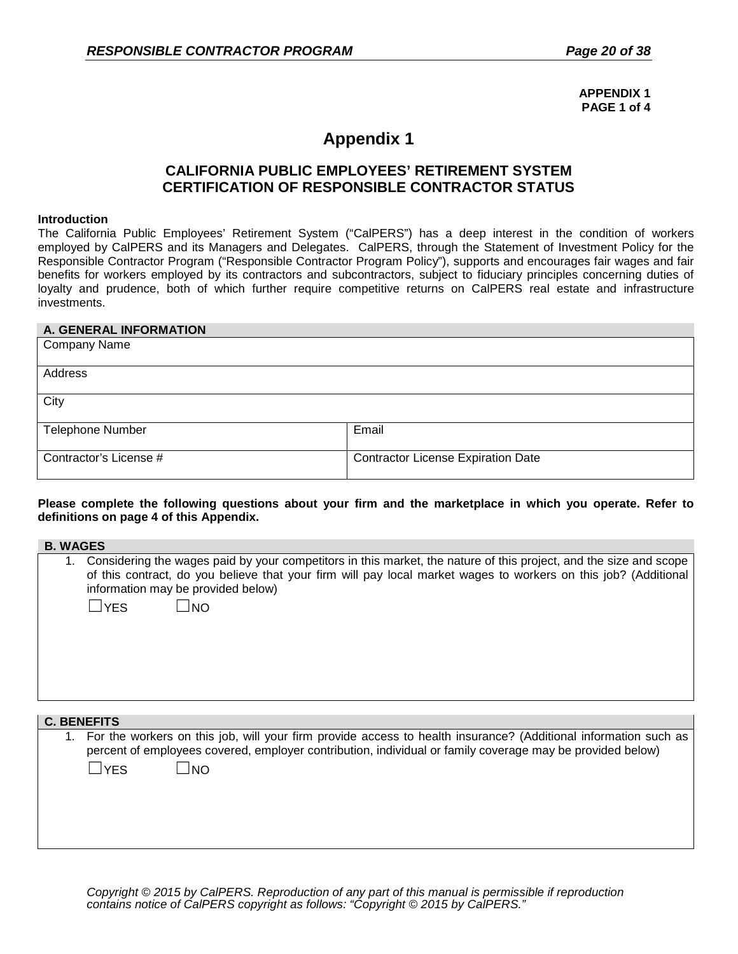**APPENDIX 1 PAGE 1 of 4**

# **Appendix 1**

### **CALIFORNIA PUBLIC EMPLOYEES' RETIREMENT SYSTEM CERTIFICATION OF RESPONSIBLE CONTRACTOR STATUS**

#### **Introduction**

The California Public Employees' Retirement System ("CalPERS") has a deep interest in the condition of workers employed by CalPERS and its Managers and Delegates. CalPERS, through the Statement of Investment Policy for the Responsible Contractor Program ("Responsible Contractor Program Policy"), supports and encourages fair wages and fair benefits for workers employed by its contractors and subcontractors, subject to fiduciary principles concerning duties of loyalty and prudence, both of which further require competitive returns on CalPERS real estate and infrastructure investments.

#### **A. GENERAL INFORMATION**

| <b>Company Name</b>     |                                           |
|-------------------------|-------------------------------------------|
| Address                 |                                           |
| City                    |                                           |
| <b>Telephone Number</b> | Email                                     |
| Contractor's License #  | <b>Contractor License Expiration Date</b> |

#### **Please complete the following questions about your firm and the marketplace in which you operate. Refer to definitions on page 4 of this Appendix.**

| <b>B. WAGES</b> |                                                                                                                                                                                                                                                                                                          |
|-----------------|----------------------------------------------------------------------------------------------------------------------------------------------------------------------------------------------------------------------------------------------------------------------------------------------------------|
| 1.              | Considering the wages paid by your competitors in this market, the nature of this project, and the size and scope<br>of this contract, do you believe that your firm will pay local market wages to workers on this job? (Additional<br>information may be provided below)<br>$\square$ YES<br>$\Box$ NO |
|                 |                                                                                                                                                                                                                                                                                                          |
|                 | <b>C. BENEFITS</b>                                                                                                                                                                                                                                                                                       |
|                 | For the workers on this job, will your firm provide access to health insurance? (Additional information such as<br>percent of employees covered, employer contribution, individual or family coverage may be provided below)<br>$\sqcup$ YES<br>$\Box$ NO                                                |

*Copyright © 2015 by CalPERS. Reproduction of any part of this manual is permissible if reproduction contains notice of CalPERS copyright as follows: "Copyright © 2015 by CalPERS."*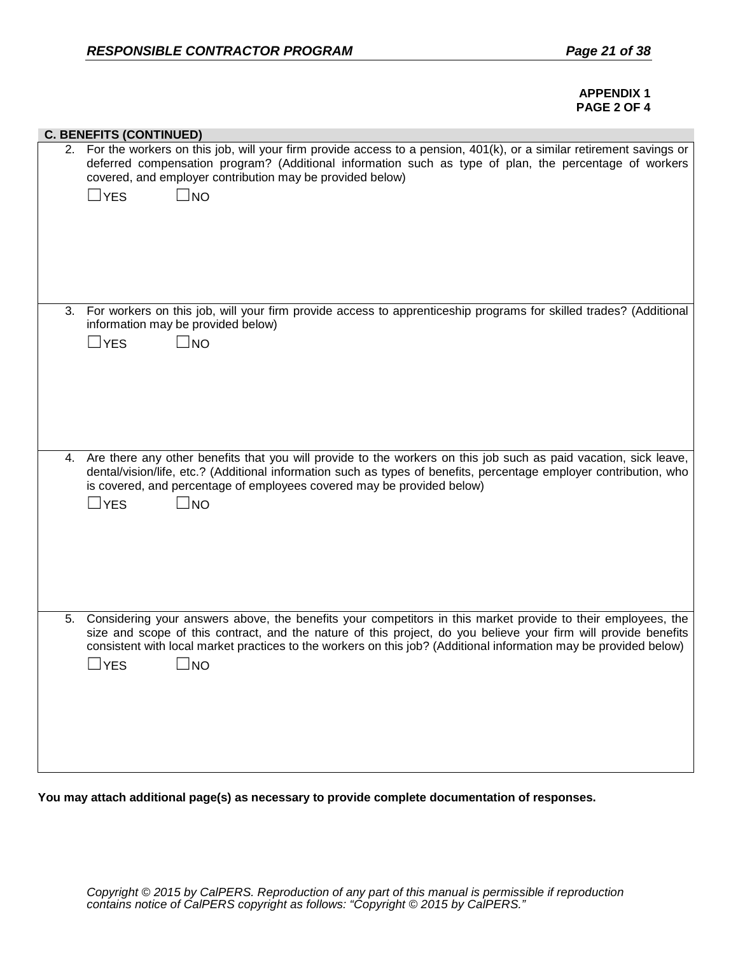#### **APPENDIX 1 PAGE 2 OF 4**

|    | <b>C. BENEFITS (CONTINUED)</b>                                                                                                                                                                                                                                                                                                                                                        |
|----|---------------------------------------------------------------------------------------------------------------------------------------------------------------------------------------------------------------------------------------------------------------------------------------------------------------------------------------------------------------------------------------|
|    | 2. For the workers on this job, will your firm provide access to a pension, 401(k), or a similar retirement savings or<br>deferred compensation program? (Additional information such as type of plan, the percentage of workers<br>covered, and employer contribution may be provided below)<br>$\Box$ YES<br>$\square$ no                                                           |
| 3. | For workers on this job, will your firm provide access to apprenticeship programs for skilled trades? (Additional<br>information may be provided below)<br>$\Box$ YES<br>$\Box$ No                                                                                                                                                                                                    |
|    | 4. Are there any other benefits that you will provide to the workers on this job such as paid vacation, sick leave,<br>dental/vision/life, etc.? (Additional information such as types of benefits, percentage employer contribution, who<br>is covered, and percentage of employees covered may be provided below)<br>$\square$ YES<br>$\square$ NO                                  |
| 5. | Considering your answers above, the benefits your competitors in this market provide to their employees, the<br>size and scope of this contract, and the nature of this project, do you believe your firm will provide benefits<br>consistent with local market practices to the workers on this job? (Additional information may be provided below)<br>$\square$ NO<br>$\square$ YES |

**You may attach additional page(s) as necessary to provide complete documentation of responses.**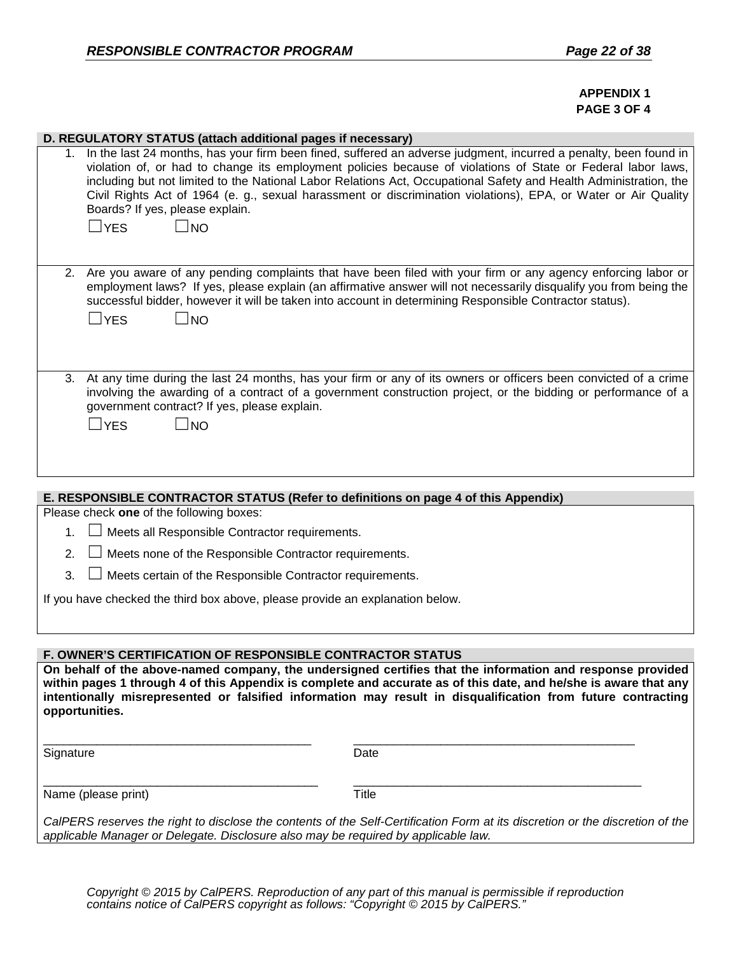#### **APPENDIX 1 PAGE 3 OF 4**

| D. REGULATORY STATUS (attach additional pages if necessary)                                                                                                                                                                                                                                                                                                      |                                                                                                                                                                                                                                                                                                                                                                                                                                                                            |  |
|------------------------------------------------------------------------------------------------------------------------------------------------------------------------------------------------------------------------------------------------------------------------------------------------------------------------------------------------------------------|----------------------------------------------------------------------------------------------------------------------------------------------------------------------------------------------------------------------------------------------------------------------------------------------------------------------------------------------------------------------------------------------------------------------------------------------------------------------------|--|
| Boards? If yes, please explain.<br>$\Box$ YES<br>$\Box$ NO                                                                                                                                                                                                                                                                                                       | 1. In the last 24 months, has your firm been fined, suffered an adverse judgment, incurred a penalty, been found in<br>violation of, or had to change its employment policies because of violations of State or Federal labor laws,<br>including but not limited to the National Labor Relations Act, Occupational Safety and Health Administration, the<br>Civil Rights Act of 1964 (e. g., sexual harassment or discrimination violations), EPA, or Water or Air Quality |  |
| 2.<br>$\Box$ YES<br>$\Box$ NO                                                                                                                                                                                                                                                                                                                                    | Are you aware of any pending complaints that have been filed with your firm or any agency enforcing labor or<br>employment laws? If yes, please explain (an affirmative answer will not necessarily disqualify you from being the<br>successful bidder, however it will be taken into account in determining Responsible Contractor status).                                                                                                                               |  |
| 3.<br>government contract? If yes, please explain.<br>$\Box$ YES<br>$\square$ NO                                                                                                                                                                                                                                                                                 | At any time during the last 24 months, has your firm or any of its owners or officers been convicted of a crime<br>involving the awarding of a contract of a government construction project, or the bidding or performance of a                                                                                                                                                                                                                                           |  |
|                                                                                                                                                                                                                                                                                                                                                                  |                                                                                                                                                                                                                                                                                                                                                                                                                                                                            |  |
| E. RESPONSIBLE CONTRACTOR STATUS (Refer to definitions on page 4 of this Appendix)<br>Please check one of the following boxes:                                                                                                                                                                                                                                   |                                                                                                                                                                                                                                                                                                                                                                                                                                                                            |  |
| Meets all Responsible Contractor requirements.<br>1.                                                                                                                                                                                                                                                                                                             |                                                                                                                                                                                                                                                                                                                                                                                                                                                                            |  |
| 2.<br>Meets none of the Responsible Contractor requirements.                                                                                                                                                                                                                                                                                                     |                                                                                                                                                                                                                                                                                                                                                                                                                                                                            |  |
| 3.<br>Meets certain of the Responsible Contractor requirements.                                                                                                                                                                                                                                                                                                  |                                                                                                                                                                                                                                                                                                                                                                                                                                                                            |  |
| If you have checked the third box above, please provide an explanation below.                                                                                                                                                                                                                                                                                    |                                                                                                                                                                                                                                                                                                                                                                                                                                                                            |  |
|                                                                                                                                                                                                                                                                                                                                                                  |                                                                                                                                                                                                                                                                                                                                                                                                                                                                            |  |
| <b>F. OWNER'S CERTIFICATION OF RESPONSIBLE CONTRACTOR STATUS</b>                                                                                                                                                                                                                                                                                                 |                                                                                                                                                                                                                                                                                                                                                                                                                                                                            |  |
| On behalf of the above-named company, the undersigned certifies that the information and response provided<br>within pages 1 through 4 of this Appendix is complete and accurate as of this date, and he/she is aware that any<br>intentionally misrepresented or falsified information may result in disqualification from future contracting<br>opportunities. |                                                                                                                                                                                                                                                                                                                                                                                                                                                                            |  |
| Signature                                                                                                                                                                                                                                                                                                                                                        | Date                                                                                                                                                                                                                                                                                                                                                                                                                                                                       |  |
| Name (please print)                                                                                                                                                                                                                                                                                                                                              | <b>Title</b>                                                                                                                                                                                                                                                                                                                                                                                                                                                               |  |
| applicable Manager or Delegate. Disclosure also may be required by applicable law.                                                                                                                                                                                                                                                                               | CalPERS reserves the right to disclose the contents of the Self-Certification Form at its discretion or the discretion of the                                                                                                                                                                                                                                                                                                                                              |  |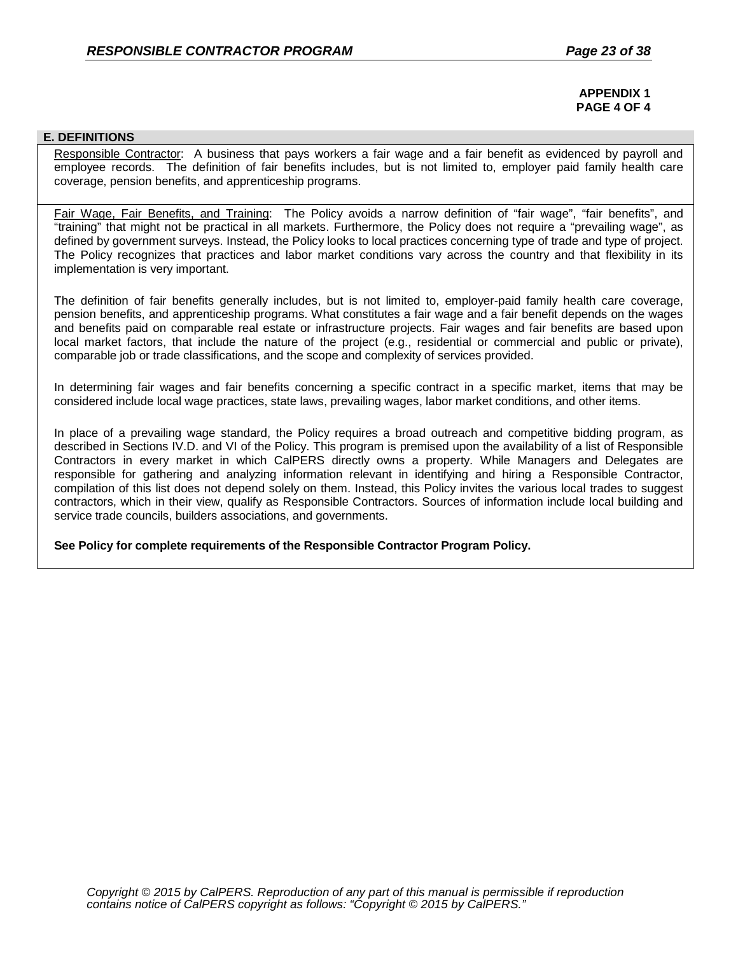#### **APPENDIX 1 PAGE 4 OF 4**

#### **E. DEFINITIONS**

Responsible Contractor: A business that pays workers a fair wage and a fair benefit as evidenced by payroll and employee records. The definition of fair benefits includes, but is not limited to, employer paid family health care coverage, pension benefits, and apprenticeship programs.

Fair Wage, Fair Benefits, and Training: The Policy avoids a narrow definition of "fair wage", "fair benefits", and "training" that might not be practical in all markets. Furthermore, the Policy does not require a "prevailing wage", as defined by government surveys. Instead, the Policy looks to local practices concerning type of trade and type of project. The Policy recognizes that practices and labor market conditions vary across the country and that flexibility in its implementation is very important.

The definition of fair benefits generally includes, but is not limited to, employer-paid family health care coverage, pension benefits, and apprenticeship programs. What constitutes a fair wage and a fair benefit depends on the wages and benefits paid on comparable real estate or infrastructure projects. Fair wages and fair benefits are based upon local market factors, that include the nature of the project (e.g., residential or commercial and public or private), comparable job or trade classifications, and the scope and complexity of services provided.

In determining fair wages and fair benefits concerning a specific contract in a specific market, items that may be considered include local wage practices, state laws, prevailing wages, labor market conditions, and other items.

In place of a prevailing wage standard, the Policy requires a broad outreach and competitive bidding program, as described in Sections IV.D. and VI of the Policy. This program is premised upon the availability of a list of Responsible Contractors in every market in which CalPERS directly owns a property. While Managers and Delegates are responsible for gathering and analyzing information relevant in identifying and hiring a Responsible Contractor, compilation of this list does not depend solely on them. Instead, this Policy invites the various local trades to suggest contractors, which in their view, qualify as Responsible Contractors. Sources of information include local building and service trade councils, builders associations, and governments.

**See Policy for complete requirements of the Responsible Contractor Program Policy.**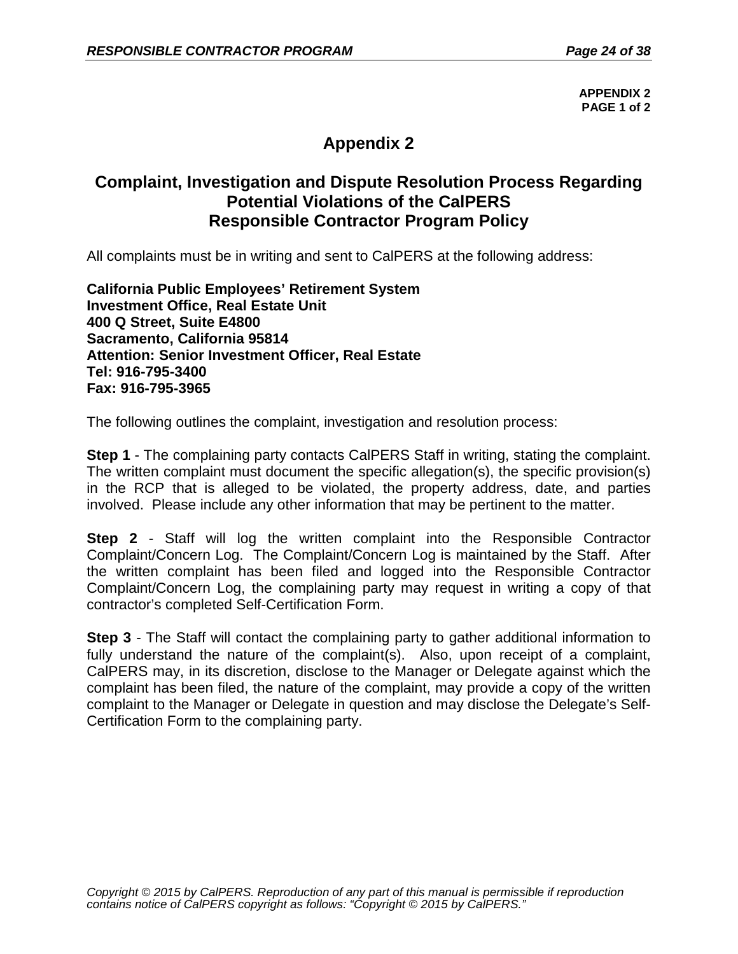**APPENDIX 2 PAGE 1 of 2**

# **Appendix 2**

# **Complaint, Investigation and Dispute Resolution Process Regarding Potential Violations of the CalPERS Responsible Contractor Program Policy**

All complaints must be in writing and sent to CalPERS at the following address:

**California Public Employees' Retirement System Investment Office, Real Estate Unit 400 Q Street, Suite E4800 Sacramento, California 95814 Attention: Senior Investment Officer, Real Estate Tel: 916-795-3400 Fax: 916-795-3965**

The following outlines the complaint, investigation and resolution process:

**Step 1** - The complaining party contacts CalPERS Staff in writing, stating the complaint. The written complaint must document the specific allegation(s), the specific provision(s) in the RCP that is alleged to be violated, the property address, date, and parties involved. Please include any other information that may be pertinent to the matter.

**Step 2** - Staff will log the written complaint into the Responsible Contractor Complaint/Concern Log. The Complaint/Concern Log is maintained by the Staff. After the written complaint has been filed and logged into the Responsible Contractor Complaint/Concern Log, the complaining party may request in writing a copy of that contractor's completed Self-Certification Form.

**Step 3** - The Staff will contact the complaining party to gather additional information to fully understand the nature of the complaint(s). Also, upon receipt of a complaint, CalPERS may, in its discretion, disclose to the Manager or Delegate against which the complaint has been filed, the nature of the complaint, may provide a copy of the written complaint to the Manager or Delegate in question and may disclose the Delegate's Self-Certification Form to the complaining party.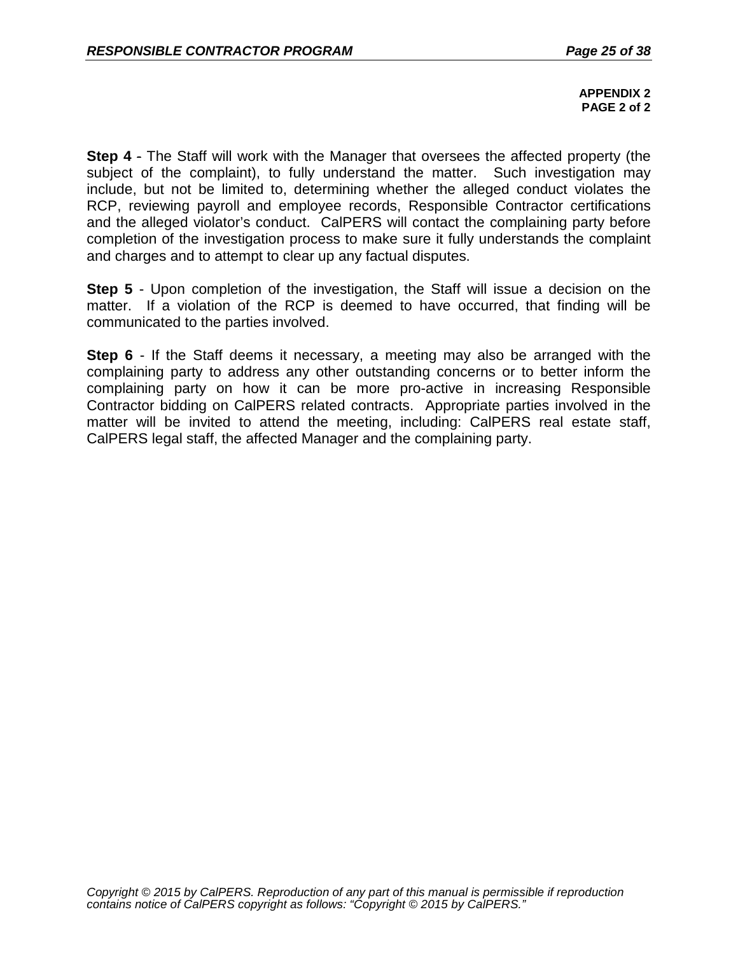**APPENDIX 2 PAGE 2 of 2**

**Step 4** - The Staff will work with the Manager that oversees the affected property (the subject of the complaint), to fully understand the matter. Such investigation may include, but not be limited to, determining whether the alleged conduct violates the RCP, reviewing payroll and employee records, Responsible Contractor certifications and the alleged violator's conduct. CalPERS will contact the complaining party before completion of the investigation process to make sure it fully understands the complaint and charges and to attempt to clear up any factual disputes.

**Step 5** - Upon completion of the investigation, the Staff will issue a decision on the matter. If a violation of the RCP is deemed to have occurred, that finding will be communicated to the parties involved.

**Step 6** - If the Staff deems it necessary, a meeting may also be arranged with the complaining party to address any other outstanding concerns or to better inform the complaining party on how it can be more pro-active in increasing Responsible Contractor bidding on CalPERS related contracts. Appropriate parties involved in the matter will be invited to attend the meeting, including: CalPERS real estate staff, CalPERS legal staff, the affected Manager and the complaining party.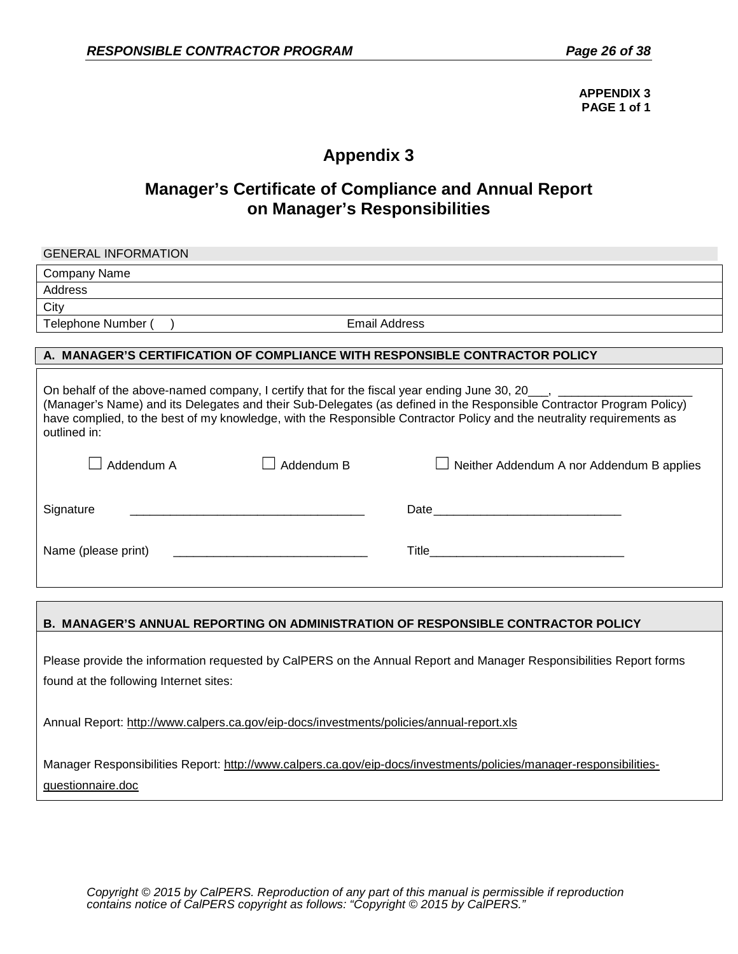**APPENDIX 3 PAGE 1 of 1**

# **Appendix 3**

# **Manager's Certificate of Compliance and Annual Report on Manager's Responsibilities**

| <b>GENERAL INFORMATION</b>                                                                                                                                                                                                                                                                                                                                                                                                                               |                      |                                                                                                                                                                                                                                    |  |  |
|----------------------------------------------------------------------------------------------------------------------------------------------------------------------------------------------------------------------------------------------------------------------------------------------------------------------------------------------------------------------------------------------------------------------------------------------------------|----------------------|------------------------------------------------------------------------------------------------------------------------------------------------------------------------------------------------------------------------------------|--|--|
| Company Name                                                                                                                                                                                                                                                                                                                                                                                                                                             |                      |                                                                                                                                                                                                                                    |  |  |
| Address                                                                                                                                                                                                                                                                                                                                                                                                                                                  |                      |                                                                                                                                                                                                                                    |  |  |
| City                                                                                                                                                                                                                                                                                                                                                                                                                                                     |                      |                                                                                                                                                                                                                                    |  |  |
| Telephone Number ( )                                                                                                                                                                                                                                                                                                                                                                                                                                     | <b>Email Address</b> |                                                                                                                                                                                                                                    |  |  |
|                                                                                                                                                                                                                                                                                                                                                                                                                                                          |                      |                                                                                                                                                                                                                                    |  |  |
| A. MANAGER'S CERTIFICATION OF COMPLIANCE WITH RESPONSIBLE CONTRACTOR POLICY                                                                                                                                                                                                                                                                                                                                                                              |                      |                                                                                                                                                                                                                                    |  |  |
| On behalf of the above-named company, I certify that for the fiscal year ending June 30, 20___, ______________<br>(Manager's Name) and its Delegates and their Sub-Delegates (as defined in the Responsible Contractor Program Policy)<br>have complied, to the best of my knowledge, with the Responsible Contractor Policy and the neutrality requirements as<br>outlined in:<br>Addendum A<br>Addendum B<br>Neither Addendum A nor Addendum B applies |                      |                                                                                                                                                                                                                                    |  |  |
| Signature                                                                                                                                                                                                                                                                                                                                                                                                                                                |                      |                                                                                                                                                                                                                                    |  |  |
| Name (please print)                                                                                                                                                                                                                                                                                                                                                                                                                                      |                      | <b>Title The Community of the Community of the Community of the Community of the Community of the Community of the Community of the Community of the Community of the Community of the Community of the Community of the Commu</b> |  |  |

#### **B. MANAGER'S ANNUAL REPORTING ON ADMINISTRATION OF RESPONSIBLE CONTRACTOR POLICY**

Please provide the information requested by CalPERS on the Annual Report and Manager Responsibilities Report forms found at the following Internet sites:

Annual Report:<http://www.calpers.ca.gov/eip-docs/investments/policies/annual-report.xls>

Manager Responsibilities Report: [http://www.calpers.ca.gov/eip-docs/investments/policies/manager-responsibilities](http://www.calpers.ca.gov/eip-docs/investments/policies/manager-responsibilities-questionnaire.doc)[questionnaire.doc](http://www.calpers.ca.gov/eip-docs/investments/policies/manager-responsibilities-questionnaire.doc)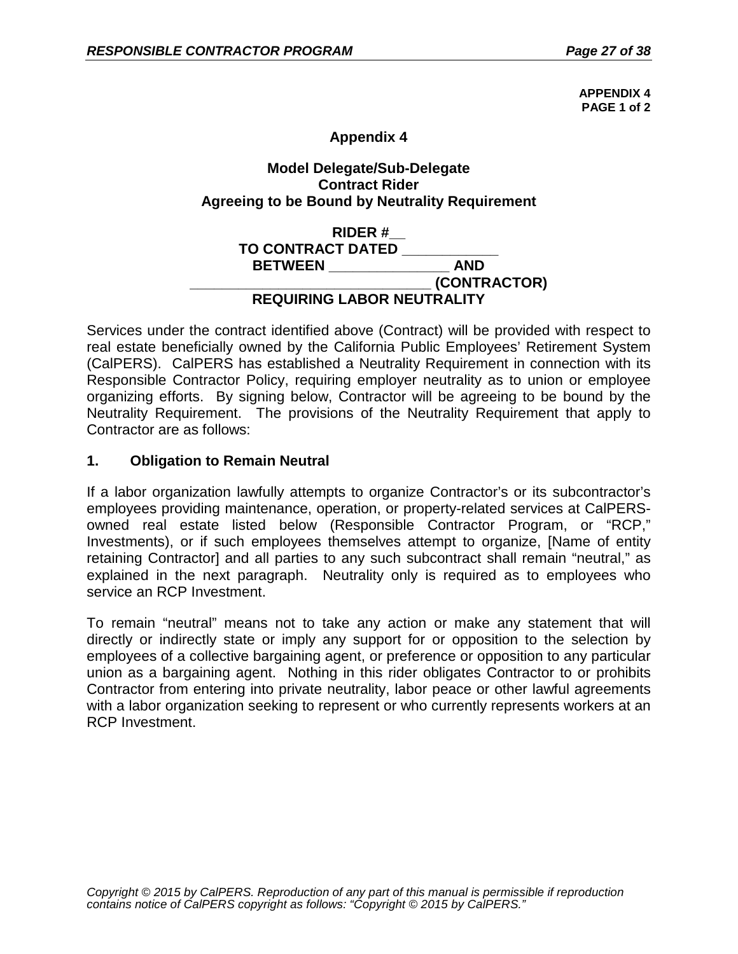**APPENDIX 4 PAGE 1 of 2**

## **Appendix 4**

## **Model Delegate/Sub-Delegate Contract Rider Agreeing to be Bound by Neutrality Requirement**

## **RIDER #\_\_ TO CONTRACT DATED \_\_\_\_\_\_\_\_\_\_\_\_ BETWEEN \_\_\_\_\_\_\_\_\_\_\_\_\_\_\_\_\_\_\_\_\_\_\_\_\_\_\_\_\_\_ (CONTRACTOR) REQUIRING LABOR NEUTRALITY**

Services under the contract identified above (Contract) will be provided with respect to real estate beneficially owned by the California Public Employees' Retirement System (CalPERS). CalPERS has established a Neutrality Requirement in connection with its Responsible Contractor Policy, requiring employer neutrality as to union or employee organizing efforts. By signing below, Contractor will be agreeing to be bound by the Neutrality Requirement. The provisions of the Neutrality Requirement that apply to Contractor are as follows:

### **1. Obligation to Remain Neutral**

If a labor organization lawfully attempts to organize Contractor's or its subcontractor's employees providing maintenance, operation, or property-related services at CalPERSowned real estate listed below (Responsible Contractor Program, or "RCP," Investments), or if such employees themselves attempt to organize, [Name of entity retaining Contractor] and all parties to any such subcontract shall remain "neutral," as explained in the next paragraph. Neutrality only is required as to employees who service an RCP Investment.

To remain "neutral" means not to take any action or make any statement that will directly or indirectly state or imply any support for or opposition to the selection by employees of a collective bargaining agent, or preference or opposition to any particular union as a bargaining agent. Nothing in this rider obligates Contractor to or prohibits Contractor from entering into private neutrality, labor peace or other lawful agreements with a labor organization seeking to represent or who currently represents workers at an RCP Investment.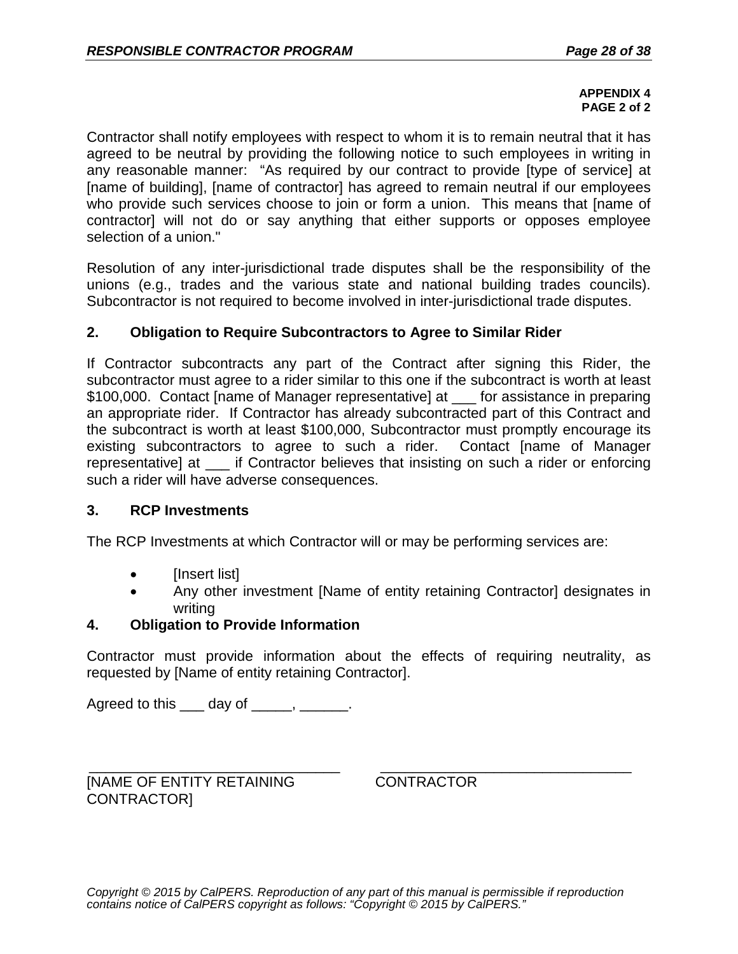#### **APPENDIX 4 PAGE 2 of 2**

Contractor shall notify employees with respect to whom it is to remain neutral that it has agreed to be neutral by providing the following notice to such employees in writing in any reasonable manner: "As required by our contract to provide [type of service] at [name of building], [name of contractor] has agreed to remain neutral if our employees who provide such services choose to join or form a union. This means that [name of contractor] will not do or say anything that either supports or opposes employee selection of a union."

Resolution of any inter-jurisdictional trade disputes shall be the responsibility of the unions (e.g., trades and the various state and national building trades councils). Subcontractor is not required to become involved in inter-jurisdictional trade disputes.

## **2. Obligation to Require Subcontractors to Agree to Similar Rider**

If Contractor subcontracts any part of the Contract after signing this Rider, the subcontractor must agree to a rider similar to this one if the subcontract is worth at least \$100,000. Contact [name of Manager representative] at \_\_\_ for assistance in preparing an appropriate rider. If Contractor has already subcontracted part of this Contract and the subcontract is worth at least \$100,000, Subcontractor must promptly encourage its existing subcontractors to agree to such a rider. Contact [name of Manager representative] at if Contractor believes that insisting on such a rider or enforcing such a rider will have adverse consequences.

## **3. RCP Investments**

The RCP Investments at which Contractor will or may be performing services are:

- [Insert list]
- Any other investment [Name of entity retaining Contractor] designates in writing

# **4. Obligation to Provide Information**

Contractor must provide information about the effects of requiring neutrality, as requested by [Name of entity retaining Contractor].

Agreed to this day of the control of the control of the control of the control of the control of the control o

\_\_\_\_\_\_\_\_\_\_\_\_\_\_\_\_\_\_\_\_\_\_\_\_\_\_\_\_\_\_\_ [NAME OF ENTITY RETAINING CONTRACTOR]

\_\_\_\_\_\_\_\_\_\_\_\_\_\_\_\_\_\_\_\_\_\_\_\_\_\_\_\_\_\_\_ **CONTRACTOR**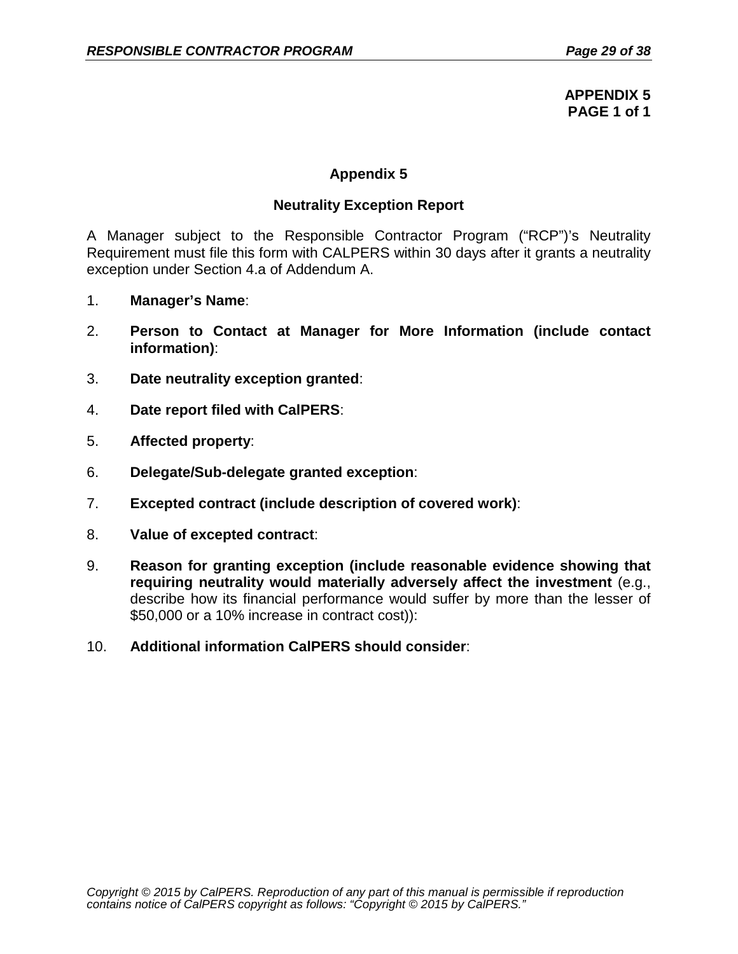**APPENDIX 5 PAGE 1 of 1**

# **Appendix 5**

### **Neutrality Exception Report**

A Manager subject to the Responsible Contractor Program ("RCP")'s Neutrality Requirement must file this form with CALPERS within 30 days after it grants a neutrality exception under Section 4.a of Addendum A.

- 1. **Manager's Name**:
- 2. **Person to Contact at Manager for More Information (include contact information)**:
- 3. **Date neutrality exception granted**:
- 4. **Date report filed with CalPERS**:
- 5. **Affected property**:
- 6. **Delegate/Sub-delegate granted exception**:
- 7. **Excepted contract (include description of covered work)**:
- 8. **Value of excepted contract**:
- 9. **Reason for granting exception (include reasonable evidence showing that requiring neutrality would materially adversely affect the investment** (e.g., describe how its financial performance would suffer by more than the lesser of \$50,000 or a 10% increase in contract cost)):
- 10. **Additional information CalPERS should consider**: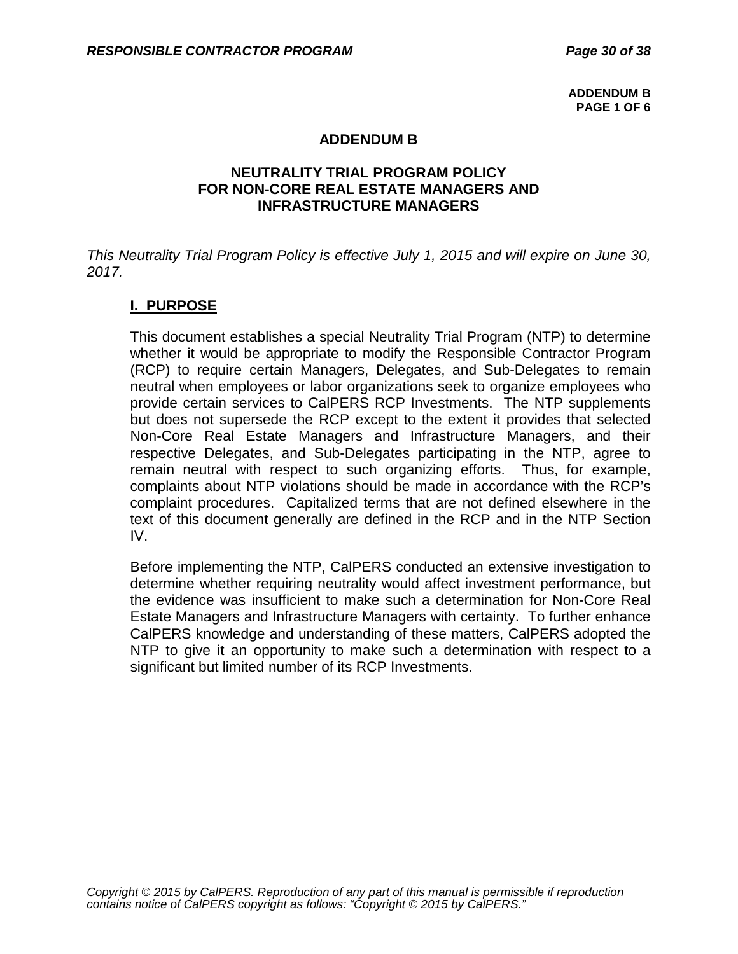**ADDENDUM B PAGE 1 OF 6**

### **ADDENDUM B**

### **NEUTRALITY TRIAL PROGRAM POLICY FOR NON-CORE REAL ESTATE MANAGERS AND INFRASTRUCTURE MANAGERS**

*This Neutrality Trial Program Policy is effective July 1, 2015 and will expire on June 30, 2017.*

# **I. PURPOSE**

This document establishes a special Neutrality Trial Program (NTP) to determine whether it would be appropriate to modify the Responsible Contractor Program (RCP) to require certain Managers, Delegates, and Sub-Delegates to remain neutral when employees or labor organizations seek to organize employees who provide certain services to CalPERS RCP Investments. The NTP supplements but does not supersede the RCP except to the extent it provides that selected Non-Core Real Estate Managers and Infrastructure Managers, and their respective Delegates, and Sub-Delegates participating in the NTP, agree to remain neutral with respect to such organizing efforts. Thus, for example, complaints about NTP violations should be made in accordance with the RCP's complaint procedures. Capitalized terms that are not defined elsewhere in the text of this document generally are defined in the RCP and in the NTP Section IV.

Before implementing the NTP, CalPERS conducted an extensive investigation to determine whether requiring neutrality would affect investment performance, but the evidence was insufficient to make such a determination for Non-Core Real Estate Managers and Infrastructure Managers with certainty. To further enhance CalPERS knowledge and understanding of these matters, CalPERS adopted the NTP to give it an opportunity to make such a determination with respect to a significant but limited number of its RCP Investments.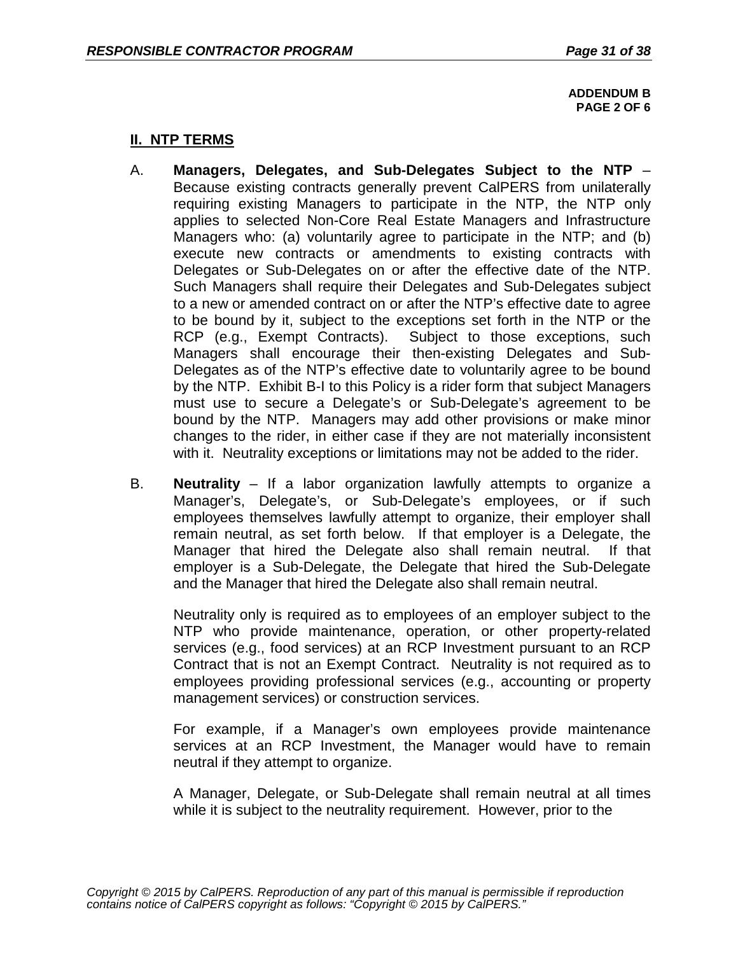**ADDENDUM B PAGE 2 OF 6**

## **II. NTP TERMS**

- A. **Managers, Delegates, and Sub-Delegates Subject to the NTP**  Because existing contracts generally prevent CalPERS from unilaterally requiring existing Managers to participate in the NTP, the NTP only applies to selected Non-Core Real Estate Managers and Infrastructure Managers who: (a) voluntarily agree to participate in the NTP; and (b) execute new contracts or amendments to existing contracts with Delegates or Sub-Delegates on or after the effective date of the NTP. Such Managers shall require their Delegates and Sub-Delegates subject to a new or amended contract on or after the NTP's effective date to agree to be bound by it, subject to the exceptions set forth in the NTP or the RCP (e.g., Exempt Contracts). Subject to those exceptions, such Managers shall encourage their then-existing Delegates and Sub-Delegates as of the NTP's effective date to voluntarily agree to be bound by the NTP. Exhibit B-I to this Policy is a rider form that subject Managers must use to secure a Delegate's or Sub-Delegate's agreement to be bound by the NTP. Managers may add other provisions or make minor changes to the rider, in either case if they are not materially inconsistent with it. Neutrality exceptions or limitations may not be added to the rider.
- B. **Neutrality**  If a labor organization lawfully attempts to organize a Manager's, Delegate's, or Sub-Delegate's employees, or if such employees themselves lawfully attempt to organize, their employer shall remain neutral, as set forth below. If that employer is a Delegate, the Manager that hired the Delegate also shall remain neutral. If that employer is a Sub-Delegate, the Delegate that hired the Sub-Delegate and the Manager that hired the Delegate also shall remain neutral.

Neutrality only is required as to employees of an employer subject to the NTP who provide maintenance, operation, or other property-related services (e.g., food services) at an RCP Investment pursuant to an RCP Contract that is not an Exempt Contract. Neutrality is not required as to employees providing professional services (e.g., accounting or property management services) or construction services.

For example, if a Manager's own employees provide maintenance services at an RCP Investment, the Manager would have to remain neutral if they attempt to organize.

A Manager, Delegate, or Sub-Delegate shall remain neutral at all times while it is subject to the neutrality requirement. However, prior to the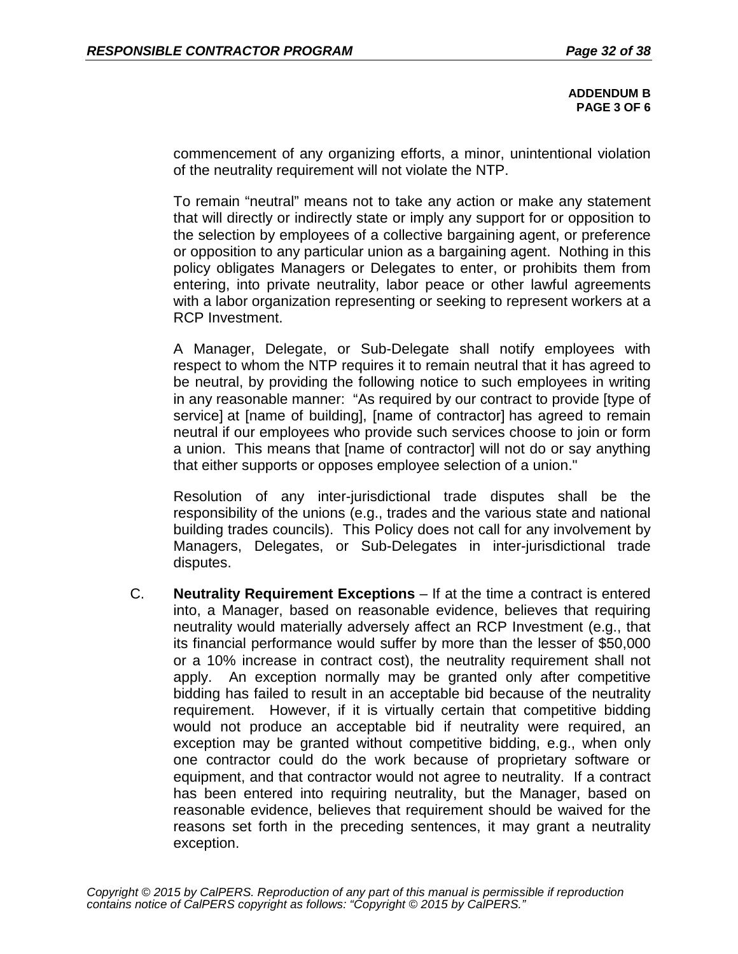**ADDENDUM B PAGE 3 OF 6** 

commencement of any organizing efforts, a minor, unintentional violation of the neutrality requirement will not violate the NTP.

To remain "neutral" means not to take any action or make any statement that will directly or indirectly state or imply any support for or opposition to the selection by employees of a collective bargaining agent, or preference or opposition to any particular union as a bargaining agent. Nothing in this policy obligates Managers or Delegates to enter, or prohibits them from entering, into private neutrality, labor peace or other lawful agreements with a labor organization representing or seeking to represent workers at a RCP Investment.

A Manager, Delegate, or Sub-Delegate shall notify employees with respect to whom the NTP requires it to remain neutral that it has agreed to be neutral, by providing the following notice to such employees in writing in any reasonable manner: "As required by our contract to provide [type of service] at [name of building], [name of contractor] has agreed to remain neutral if our employees who provide such services choose to join or form a union. This means that [name of contractor] will not do or say anything that either supports or opposes employee selection of a union."

Resolution of any inter-jurisdictional trade disputes shall be the responsibility of the unions (e.g., trades and the various state and national building trades councils). This Policy does not call for any involvement by Managers, Delegates, or Sub-Delegates in inter-jurisdictional trade disputes.

C. **Neutrality Requirement Exceptions** – If at the time a contract is entered into, a Manager, based on reasonable evidence, believes that requiring neutrality would materially adversely affect an RCP Investment (e.g., that its financial performance would suffer by more than the lesser of \$50,000 or a 10% increase in contract cost), the neutrality requirement shall not apply. An exception normally may be granted only after competitive bidding has failed to result in an acceptable bid because of the neutrality requirement. However, if it is virtually certain that competitive bidding would not produce an acceptable bid if neutrality were required, an exception may be granted without competitive bidding, e.g., when only one contractor could do the work because of proprietary software or equipment, and that contractor would not agree to neutrality. If a contract has been entered into requiring neutrality, but the Manager, based on reasonable evidence, believes that requirement should be waived for the reasons set forth in the preceding sentences, it may grant a neutrality exception.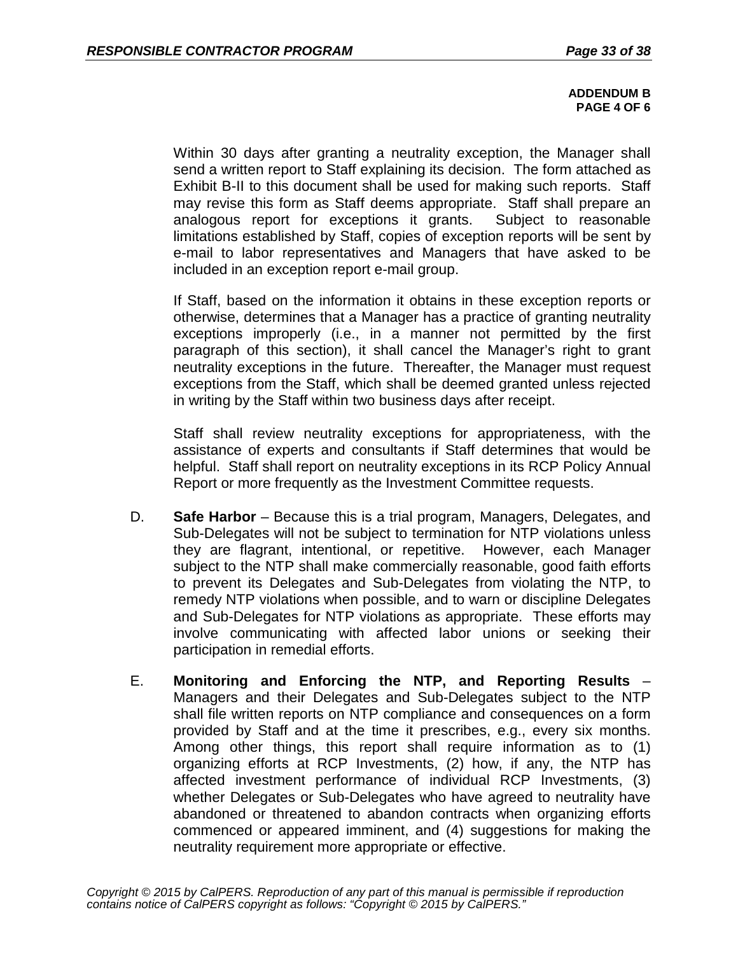#### **ADDENDUM B PAGE 4 OF 6**

Within 30 days after granting a neutrality exception, the Manager shall send a written report to Staff explaining its decision. The form attached as Exhibit B-II to this document shall be used for making such reports. Staff may revise this form as Staff deems appropriate. Staff shall prepare an analogous report for exceptions it grants. Subject to reasonable limitations established by Staff, copies of exception reports will be sent by e-mail to labor representatives and Managers that have asked to be included in an exception report e-mail group.

If Staff, based on the information it obtains in these exception reports or otherwise, determines that a Manager has a practice of granting neutrality exceptions improperly (i.e., in a manner not permitted by the first paragraph of this section), it shall cancel the Manager's right to grant neutrality exceptions in the future. Thereafter, the Manager must request exceptions from the Staff, which shall be deemed granted unless rejected in writing by the Staff within two business days after receipt.

Staff shall review neutrality exceptions for appropriateness, with the assistance of experts and consultants if Staff determines that would be helpful. Staff shall report on neutrality exceptions in its RCP Policy Annual Report or more frequently as the Investment Committee requests.

- D. **Safe Harbor**  Because this is a trial program, Managers, Delegates, and Sub-Delegates will not be subject to termination for NTP violations unless they are flagrant, intentional, or repetitive. However, each Manager subject to the NTP shall make commercially reasonable, good faith efforts to prevent its Delegates and Sub-Delegates from violating the NTP, to remedy NTP violations when possible, and to warn or discipline Delegates and Sub-Delegates for NTP violations as appropriate. These efforts may involve communicating with affected labor unions or seeking their participation in remedial efforts.
- E. **Monitoring and Enforcing the NTP, and Reporting Results**  Managers and their Delegates and Sub-Delegates subject to the NTP shall file written reports on NTP compliance and consequences on a form provided by Staff and at the time it prescribes, e.g., every six months. Among other things, this report shall require information as to (1) organizing efforts at RCP Investments, (2) how, if any, the NTP has affected investment performance of individual RCP Investments, (3) whether Delegates or Sub-Delegates who have agreed to neutrality have abandoned or threatened to abandon contracts when organizing efforts commenced or appeared imminent, and (4) suggestions for making the neutrality requirement more appropriate or effective.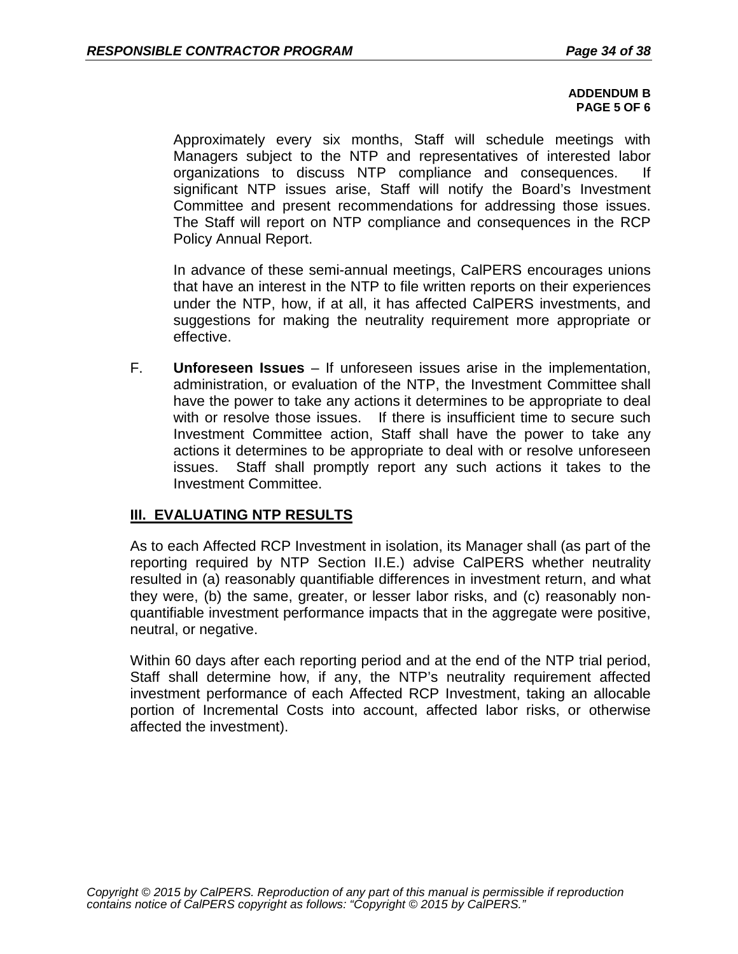#### **ADDENDUM B PAGE 5 OF 6**

Approximately every six months, Staff will schedule meetings with Managers subject to the NTP and representatives of interested labor organizations to discuss NTP compliance and consequences. If significant NTP issues arise, Staff will notify the Board's Investment Committee and present recommendations for addressing those issues. The Staff will report on NTP compliance and consequences in the RCP Policy Annual Report.

In advance of these semi-annual meetings, CalPERS encourages unions that have an interest in the NTP to file written reports on their experiences under the NTP, how, if at all, it has affected CalPERS investments, and suggestions for making the neutrality requirement more appropriate or effective.

F. **Unforeseen Issues** – If unforeseen issues arise in the implementation, administration, or evaluation of the NTP, the Investment Committee shall have the power to take any actions it determines to be appropriate to deal with or resolve those issues. If there is insufficient time to secure such Investment Committee action, Staff shall have the power to take any actions it determines to be appropriate to deal with or resolve unforeseen issues. Staff shall promptly report any such actions it takes to the Investment Committee.

# **III. EVALUATING NTP RESULTS**

As to each Affected RCP Investment in isolation, its Manager shall (as part of the reporting required by NTP Section II.E.) advise CalPERS whether neutrality resulted in (a) reasonably quantifiable differences in investment return, and what they were, (b) the same, greater, or lesser labor risks, and (c) reasonably nonquantifiable investment performance impacts that in the aggregate were positive, neutral, or negative.

Within 60 days after each reporting period and at the end of the NTP trial period, Staff shall determine how, if any, the NTP's neutrality requirement affected investment performance of each Affected RCP Investment, taking an allocable portion of Incremental Costs into account, affected labor risks, or otherwise affected the investment).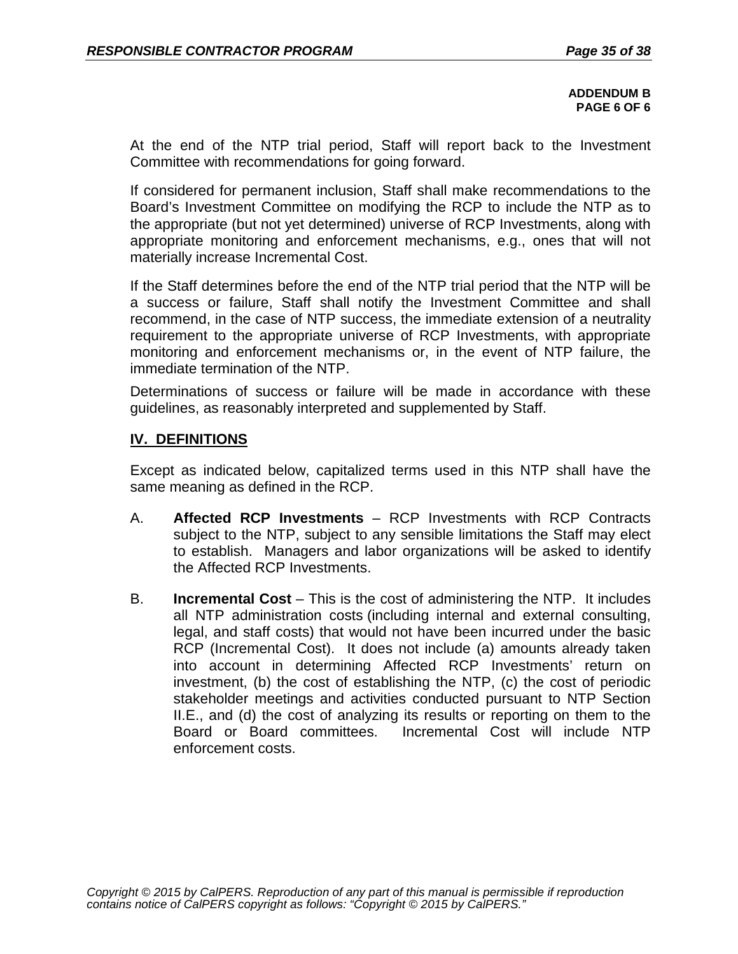**ADDENDUM B PAGE 6 OF 6**

At the end of the NTP trial period, Staff will report back to the Investment Committee with recommendations for going forward.

If considered for permanent inclusion, Staff shall make recommendations to the Board's Investment Committee on modifying the RCP to include the NTP as to the appropriate (but not yet determined) universe of RCP Investments, along with appropriate monitoring and enforcement mechanisms, e.g., ones that will not materially increase Incremental Cost.

If the Staff determines before the end of the NTP trial period that the NTP will be a success or failure, Staff shall notify the Investment Committee and shall recommend, in the case of NTP success, the immediate extension of a neutrality requirement to the appropriate universe of RCP Investments, with appropriate monitoring and enforcement mechanisms or, in the event of NTP failure, the immediate termination of the NTP.

Determinations of success or failure will be made in accordance with these guidelines, as reasonably interpreted and supplemented by Staff.

## **IV. DEFINITIONS**

Except as indicated below, capitalized terms used in this NTP shall have the same meaning as defined in the RCP.

- A. **Affected RCP Investments**  RCP Investments with RCP Contracts subject to the NTP, subject to any sensible limitations the Staff may elect to establish. Managers and labor organizations will be asked to identify the Affected RCP Investments.
- B. **Incremental Cost**  This is the cost of administering the NTP. It includes all NTP administration costs (including internal and external consulting, legal, and staff costs) that would not have been incurred under the basic RCP (Incremental Cost). It does not include (a) amounts already taken into account in determining Affected RCP Investments' return on investment, (b) the cost of establishing the NTP, (c) the cost of periodic stakeholder meetings and activities conducted pursuant to NTP Section II.E., and (d) the cost of analyzing its results or reporting on them to the Board or Board committees. Incremental Cost will include NTP enforcement costs.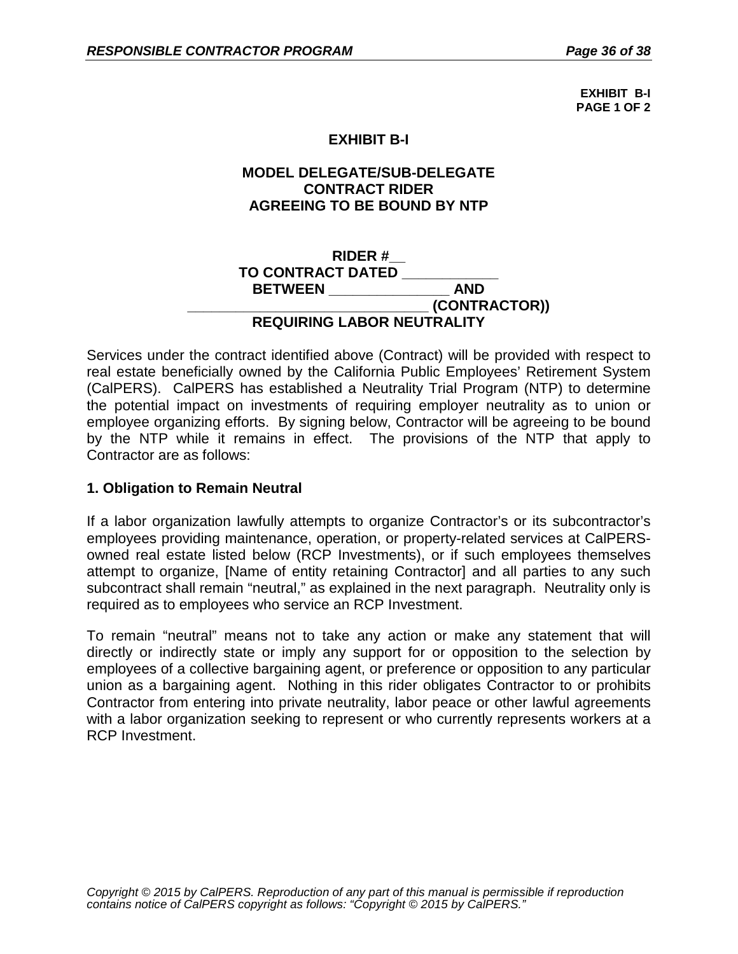**EXHIBIT B-I PAGE 1 OF 2**

# **EXHIBIT B-I**

# **MODEL DELEGATE/SUB-DELEGATE CONTRACT RIDER AGREEING TO BE BOUND BY NTP**

### **RIDER #\_\_ TO CONTRACT DATED \_\_\_\_\_\_\_\_\_\_\_\_ BETWEEN \_\_\_\_\_\_\_\_\_\_\_\_\_\_\_\_\_\_\_\_\_\_\_\_\_\_\_\_\_\_ (CONTRACTOR)) REQUIRING LABOR NEUTRALITY**

Services under the contract identified above (Contract) will be provided with respect to real estate beneficially owned by the California Public Employees' Retirement System (CalPERS). CalPERS has established a Neutrality Trial Program (NTP) to determine the potential impact on investments of requiring employer neutrality as to union or employee organizing efforts. By signing below, Contractor will be agreeing to be bound by the NTP while it remains in effect. The provisions of the NTP that apply to Contractor are as follows:

## **1. Obligation to Remain Neutral**

If a labor organization lawfully attempts to organize Contractor's or its subcontractor's employees providing maintenance, operation, or property-related services at CalPERSowned real estate listed below (RCP Investments), or if such employees themselves attempt to organize, [Name of entity retaining Contractor] and all parties to any such subcontract shall remain "neutral," as explained in the next paragraph. Neutrality only is required as to employees who service an RCP Investment.

To remain "neutral" means not to take any action or make any statement that will directly or indirectly state or imply any support for or opposition to the selection by employees of a collective bargaining agent, or preference or opposition to any particular union as a bargaining agent. Nothing in this rider obligates Contractor to or prohibits Contractor from entering into private neutrality, labor peace or other lawful agreements with a labor organization seeking to represent or who currently represents workers at a RCP Investment.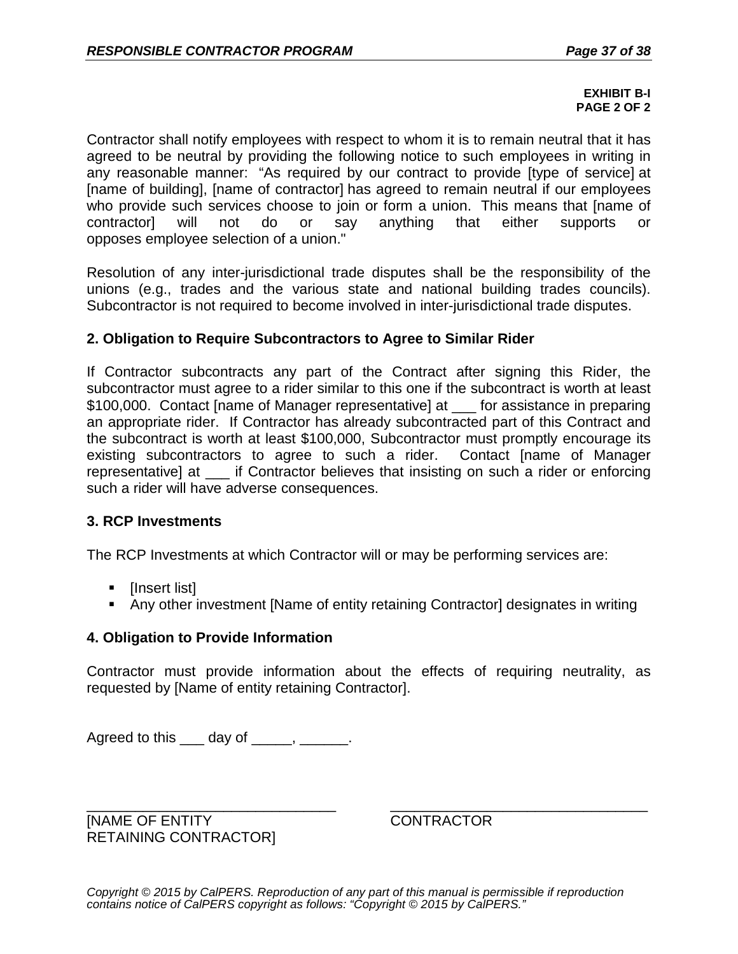#### **EXHIBIT B-I PAGE 2 OF 2**

Contractor shall notify employees with respect to whom it is to remain neutral that it has agreed to be neutral by providing the following notice to such employees in writing in any reasonable manner: "As required by our contract to provide [type of service] at [name of building], [name of contractor] has agreed to remain neutral if our employees who provide such services choose to join or form a union. This means that [name of contractor] will not do or say anything that either supports or opposes employee selection of a union."

Resolution of any inter-jurisdictional trade disputes shall be the responsibility of the unions (e.g., trades and the various state and national building trades councils). Subcontractor is not required to become involved in inter-jurisdictional trade disputes.

### **2. Obligation to Require Subcontractors to Agree to Similar Rider**

If Contractor subcontracts any part of the Contract after signing this Rider, the subcontractor must agree to a rider similar to this one if the subcontract is worth at least \$100,000. Contact [name of Manager representative] at for assistance in preparing an appropriate rider. If Contractor has already subcontracted part of this Contract and the subcontract is worth at least \$100,000, Subcontractor must promptly encourage its existing subcontractors to agree to such a rider. Contact [name of Manager representative] at \_\_\_ if Contractor believes that insisting on such a rider or enforcing such a rider will have adverse consequences.

## **3. RCP Investments**

The RCP Investments at which Contractor will or may be performing services are:

- [Insert list]
- Any other investment [Name of entity retaining Contractor] designates in writing

#### **4. Obligation to Provide Information**

Contractor must provide information about the effects of requiring neutrality, as requested by [Name of entity retaining Contractor].

Agreed to this  $\_\_\_$  day of  $\_\_\_\_\_\_\_\_\_\_\_\_\_\_\_\_\_\_\_\_$ .

\_\_\_\_\_\_\_\_\_\_\_\_\_\_\_\_\_\_\_\_\_\_\_\_\_\_\_\_\_\_\_ \_\_\_\_\_\_\_\_\_\_\_\_\_\_\_\_\_\_\_\_\_\_\_\_\_\_\_\_\_\_\_\_ [NAME OF ENTITY CONTRACTOR RETAINING CONTRACTOR]